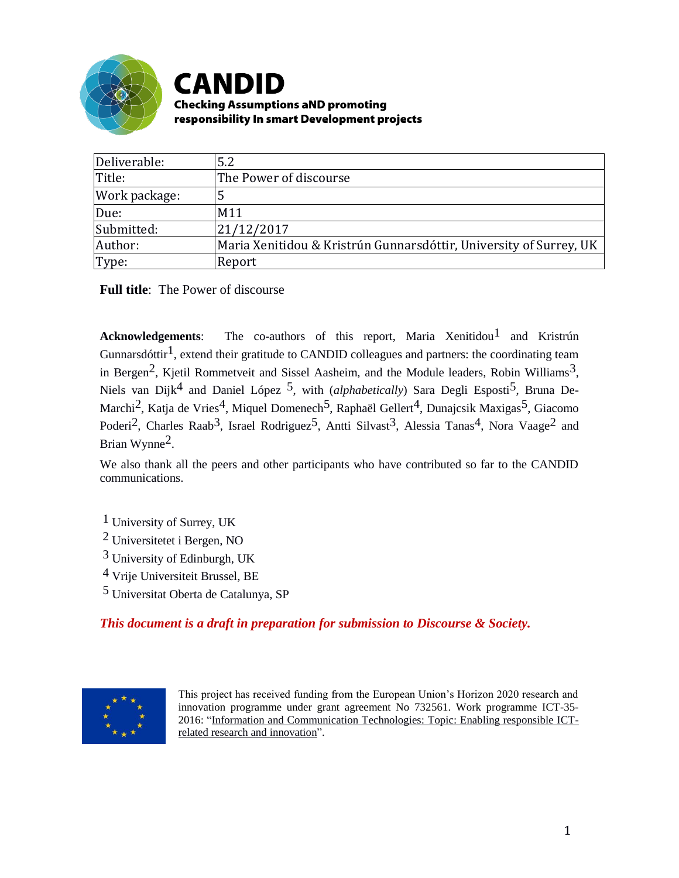

# **CANDID Checking Assumptions aND promoting**

responsibility In smart Development projects

| Deliverable:  | 5.2                                                                |  |
|---------------|--------------------------------------------------------------------|--|
| Title:        | The Power of discourse                                             |  |
| Work package: | 5                                                                  |  |
| Due:          | M11                                                                |  |
| Submitted:    | 21/12/2017                                                         |  |
| Author:       | Maria Xenitidou & Kristrún Gunnarsdóttir, University of Surrey, UK |  |
| Type:         | Report                                                             |  |

**Full title**: The Power of discourse

**Acknowledgements**: The co-authors of this report, Maria Xenitidou<sup>1</sup> and Kristrún Gunnarsdóttir<sup>1</sup>, extend their gratitude to CANDID colleagues and partners: the coordinating team in Bergen<sup>2</sup>, Kjetil Rommetveit and Sissel Aasheim, and the Module leaders, Robin Williams<sup>3</sup>, Niels van Dijk<sup>4</sup> and Daniel López <sup>5</sup>, with *(alphabetically)* Sara Degli Esposti<sup>5</sup>, Bruna De-Marchi<sup>2</sup>, Katja de Vries<sup>4</sup>, Miquel Domenech<sup>5</sup>, Raphaël Gellert<sup>4</sup>, Dunajcsik Maxigas<sup>5</sup>, Giacomo Poderi<sup>2</sup>, Charles Raab<sup>3</sup>, Israel Rodriguez<sup>5</sup>, Antti Silvast<sup>3</sup>, Alessia Tanas<sup>4</sup>, Nora Vaage<sup>2</sup> and Brian Wynne2.

We also thank all the peers and other participants who have contributed so far to the CANDID communications.

 University of Surrey, UK Universitetet i Bergen, NO University of Edinburgh, UK Vrije Universiteit Brussel, BE Universitat Oberta de Catalunya, SP

*This document is a draft in preparation for submission to Discourse & Society.*



This project has received funding from the European Union's Horizon 2020 research and innovation programme under grant agreement No 732561. Work programme ICT-35- 2016: ["Information and Communication Technologies: Topic: Enabling responsible ICT](http://ec.europa.eu/research/participants/data/ref/h2020/wp/2016_2017/main/h2020-wp1617-leit-ict_en.pdf)[related research and innovation".](http://ec.europa.eu/research/participants/data/ref/h2020/wp/2016_2017/main/h2020-wp1617-leit-ict_en.pdf)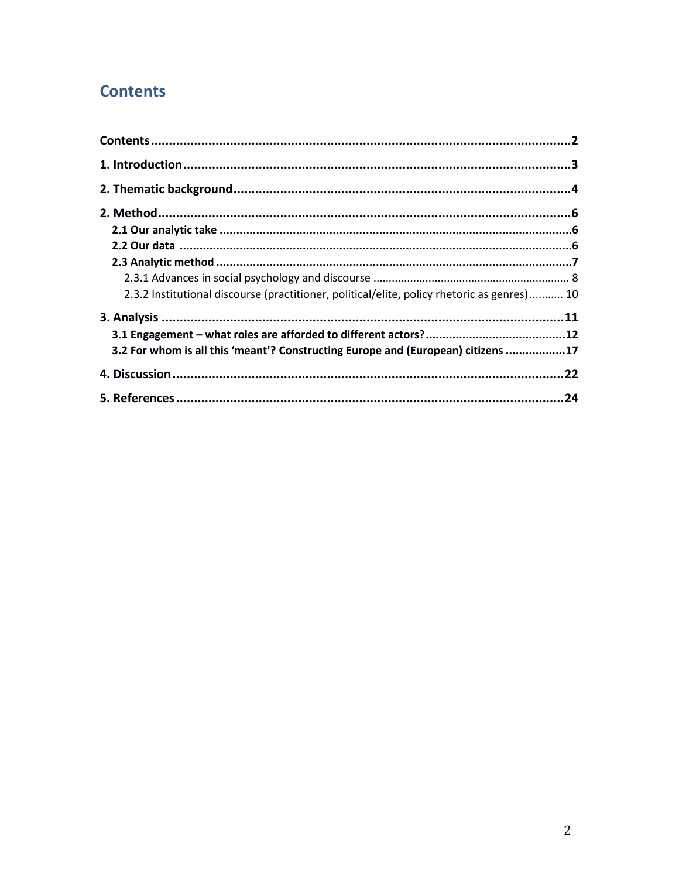# **Contents**

| 2.3.2 Institutional discourse (practitioner, political/elite, policy rhetoric as genres) 10 |  |
|---------------------------------------------------------------------------------------------|--|
|                                                                                             |  |
|                                                                                             |  |
| 3.2 For whom is all this 'meant'? Constructing Europe and (European) citizens 17            |  |
|                                                                                             |  |
|                                                                                             |  |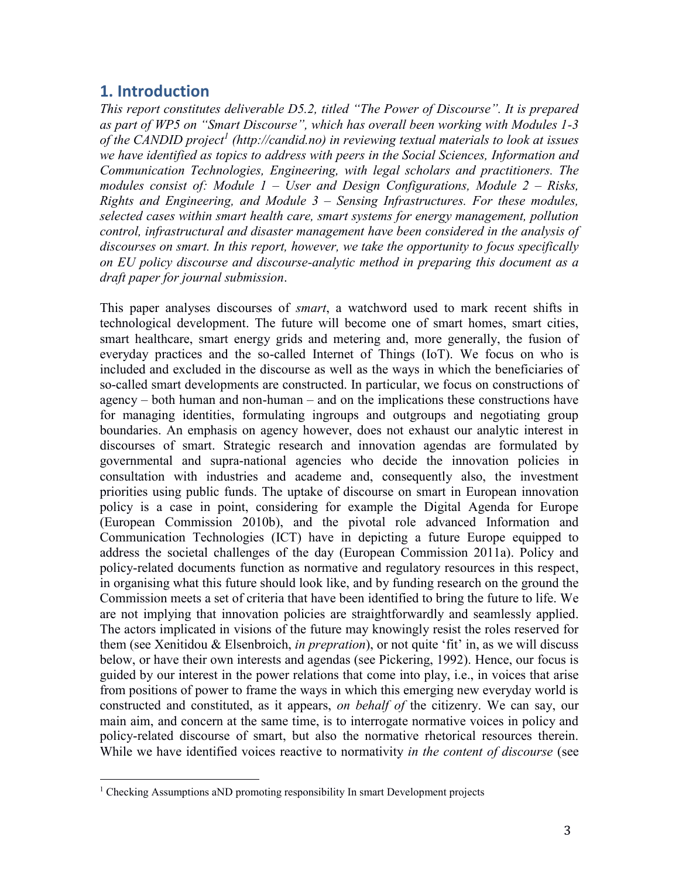## **1. Introduction**

 $\overline{a}$ 

*This report constitutes deliverable D5.2, titled "The Power of Discourse". It is prepared as part of WP5 on "Smart Discourse", which has overall been working with Modules 1-3 of the CANDID project<sup>1</sup> (http://candid.no) in reviewing textual materials to look at issues we have identified as topics to address with peers in the Social Sciences, Information and Communication Technologies, Engineering, with legal scholars and practitioners. The modules consist of: Module 1 – User and Design Configurations, Module 2 – Risks, Rights and Engineering, and Module 3 – Sensing Infrastructures. For these modules, selected cases within smart health care, smart systems for energy management, pollution control, infrastructural and disaster management have been considered in the analysis of discourses on smart. In this report, however, we take the opportunity to focus specifically on EU policy discourse and discourse-analytic method in preparing this document as a draft paper for journal submission*.

This paper analyses discourses of *smart*, a watchword used to mark recent shifts in technological development. The future will become one of smart homes, smart cities, smart healthcare, smart energy grids and metering and, more generally, the fusion of everyday practices and the so-called Internet of Things (IoT). We focus on who is included and excluded in the discourse as well as the ways in which the beneficiaries of so-called smart developments are constructed. In particular, we focus on constructions of agency – both human and non-human – and on the implications these constructions have for managing identities, formulating ingroups and outgroups and negotiating group boundaries. An emphasis on agency however, does not exhaust our analytic interest in discourses of smart. Strategic research and innovation agendas are formulated by governmental and supra-national agencies who decide the innovation policies in consultation with industries and academe and, consequently also, the investment priorities using public funds. The uptake of discourse on smart in European innovation policy is a case in point, considering for example the Digital Agenda for Europe (European Commission 2010b), and the pivotal role advanced Information and Communication Technologies (ICT) have in depicting a future Europe equipped to address the societal challenges of the day (European Commission 2011a). Policy and policy-related documents function as normative and regulatory resources in this respect, in organising what this future should look like, and by funding research on the ground the Commission meets a set of criteria that have been identified to bring the future to life. We are not implying that innovation policies are straightforwardly and seamlessly applied. The actors implicated in visions of the future may knowingly resist the roles reserved for them (see Xenitidou & Elsenbroich, *in prepration*), or not quite 'fit' in, as we will discuss below, or have their own interests and agendas (see Pickering, 1992). Hence, our focus is guided by our interest in the power relations that come into play, i.e., in voices that arise from positions of power to frame the ways in which this emerging new everyday world is constructed and constituted, as it appears, *on behalf of* the citizenry. We can say, our main aim, and concern at the same time, is to interrogate normative voices in policy and policy-related discourse of smart, but also the normative rhetorical resources therein. While we have identified voices reactive to normativity *in the content of discourse* (see

<sup>&</sup>lt;sup>1</sup> Checking Assumptions aND promoting responsibility In smart Development projects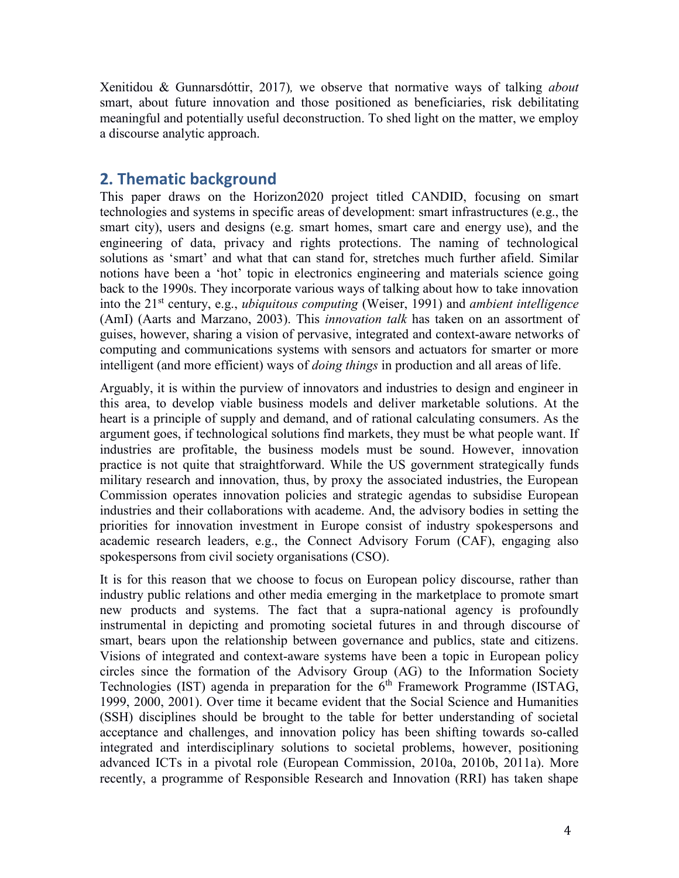Xenitidou & Gunnarsdóttir, 2017)*,* we observe that normative ways of talking *about* smart, about future innovation and those positioned as beneficiaries, risk debilitating meaningful and potentially useful deconstruction. To shed light on the matter, we employ a discourse analytic approach.

## **2. Thematic background**

This paper draws on the Horizon2020 project titled CANDID, focusing on smart technologies and systems in specific areas of development: smart infrastructures (e.g., the smart city), users and designs (e.g. smart homes, smart care and energy use), and the engineering of data, privacy and rights protections. The naming of technological solutions as 'smart' and what that can stand for, stretches much further afield. Similar notions have been a 'hot' topic in electronics engineering and materials science going back to the 1990s. They incorporate various ways of talking about how to take innovation into the 21st century, e.g., *ubiquitous computing* (Weiser, 1991) and *ambient intelligence*  (AmI) (Aarts and Marzano, 2003). This *innovation talk* has taken on an assortment of guises, however, sharing a vision of pervasive, integrated and context-aware networks of computing and communications systems with sensors and actuators for smarter or more intelligent (and more efficient) ways of *doing things* in production and all areas of life.

Arguably, it is within the purview of innovators and industries to design and engineer in this area, to develop viable business models and deliver marketable solutions. At the heart is a principle of supply and demand, and of rational calculating consumers. As the argument goes, if technological solutions find markets, they must be what people want. If industries are profitable, the business models must be sound. However, innovation practice is not quite that straightforward. While the US government strategically funds military research and innovation, thus, by proxy the associated industries, the European Commission operates innovation policies and strategic agendas to subsidise European industries and their collaborations with academe. And, the advisory bodies in setting the priorities for innovation investment in Europe consist of industry spokespersons and academic research leaders, e.g., the Connect Advisory Forum (CAF), engaging also spokespersons from civil society organisations (CSO).

It is for this reason that we choose to focus on European policy discourse, rather than industry public relations and other media emerging in the marketplace to promote smart new products and systems. The fact that a supra-national agency is profoundly instrumental in depicting and promoting societal futures in and through discourse of smart, bears upon the relationship between governance and publics, state and citizens. Visions of integrated and context-aware systems have been a topic in European policy circles since the formation of the Advisory Group (AG) to the Information Society Technologies (IST) agenda in preparation for the  $6<sup>th</sup>$  Framework Programme (ISTAG, 1999, 2000, 2001). Over time it became evident that the Social Science and Humanities (SSH) disciplines should be brought to the table for better understanding of societal acceptance and challenges, and innovation policy has been shifting towards so-called integrated and interdisciplinary solutions to societal problems, however, positioning advanced ICTs in a pivotal role (European Commission, 2010a, 2010b, 2011a). More recently, a programme of Responsible Research and Innovation (RRI) has taken shape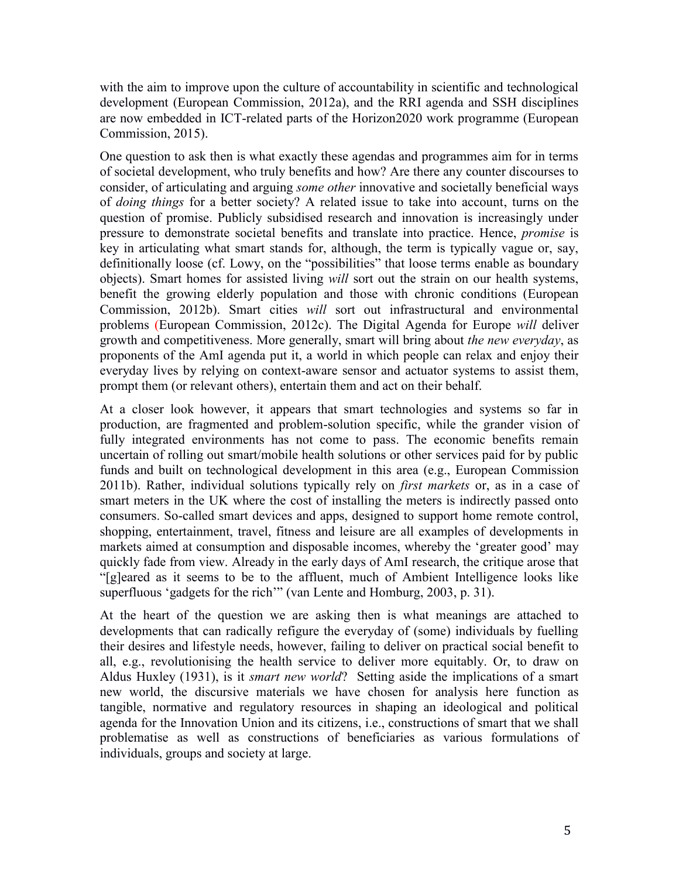with the aim to improve upon the culture of accountability in scientific and technological development (European Commission, 2012a), and the RRI agenda and SSH disciplines are now embedded in ICT-related parts of the Horizon2020 work programme (European Commission, 2015).

One question to ask then is what exactly these agendas and programmes aim for in terms of societal development, who truly benefits and how? Are there any counter discourses to consider, of articulating and arguing *some other* innovative and societally beneficial ways of *doing things* for a better society? A related issue to take into account, turns on the question of promise. Publicly subsidised research and innovation is increasingly under pressure to demonstrate societal benefits and translate into practice. Hence, *promise* is key in articulating what smart stands for, although, the term is typically vague or, say, definitionally loose (cf. Lowy, on the "possibilities" that loose terms enable as boundary objects). Smart homes for assisted living *will* sort out the strain on our health systems, benefit the growing elderly population and those with chronic conditions (European Commission, 2012b). Smart cities *will* sort out infrastructural and environmental problems (European Commission, 2012c). The Digital Agenda for Europe *will* deliver growth and competitiveness. More generally, smart will bring about *the new everyday*, as proponents of the AmI agenda put it, a world in which people can relax and enjoy their everyday lives by relying on context-aware sensor and actuator systems to assist them, prompt them (or relevant others), entertain them and act on their behalf.

At a closer look however, it appears that smart technologies and systems so far in production, are fragmented and problem-solution specific, while the grander vision of fully integrated environments has not come to pass. The economic benefits remain uncertain of rolling out smart/mobile health solutions or other services paid for by public funds and built on technological development in this area (e.g., European Commission 2011b). Rather, individual solutions typically rely on *first markets* or, as in a case of smart meters in the UK where the cost of installing the meters is indirectly passed onto consumers. So-called smart devices and apps, designed to support home remote control, shopping, entertainment, travel, fitness and leisure are all examples of developments in markets aimed at consumption and disposable incomes, whereby the 'greater good' may quickly fade from view. Already in the early days of AmI research, the critique arose that "[g]eared as it seems to be to the affluent, much of Ambient Intelligence looks like superfluous 'gadgets for the rich'" (van Lente and Homburg, 2003, p. 31).

At the heart of the question we are asking then is what meanings are attached to developments that can radically refigure the everyday of (some) individuals by fuelling their desires and lifestyle needs, however, failing to deliver on practical social benefit to all, e.g., revolutionising the health service to deliver more equitably. Or, to draw on Aldus Huxley (1931), is it *smart new world*? Setting aside the implications of a smart new world, the discursive materials we have chosen for analysis here function as tangible, normative and regulatory resources in shaping an ideological and political agenda for the Innovation Union and its citizens, i.e., constructions of smart that we shall problematise as well as constructions of beneficiaries as various formulations of individuals, groups and society at large.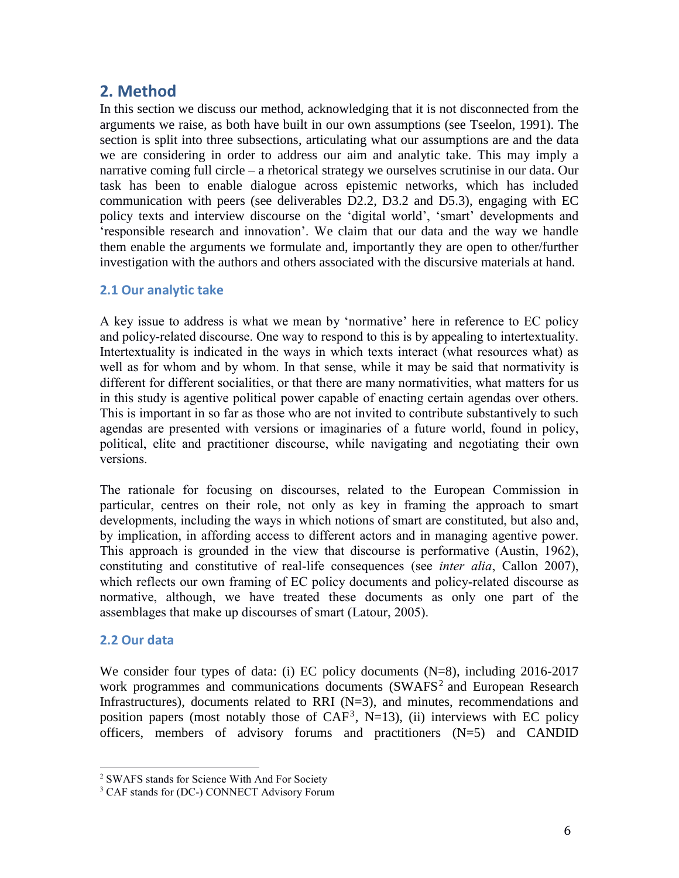## **2. Method**

In this section we discuss our method, acknowledging that it is not disconnected from the arguments we raise, as both have built in our own assumptions (see Tseelon, 1991). The section is split into three subsections, articulating what our assumptions are and the data we are considering in order to address our aim and analytic take. This may imply a narrative coming full circle – a rhetorical strategy we ourselves scrutinise in our data. Our task has been to enable dialogue across epistemic networks, which has included communication with peers (see deliverables D2.2, D3.2 and D5.3), engaging with EC policy texts and interview discourse on the 'digital world', 'smart' developments and 'responsible research and innovation'. We claim that our data and the way we handle them enable the arguments we formulate and, importantly they are open to other/further investigation with the authors and others associated with the discursive materials at hand.

### **2.1 Our analytic take**

A key issue to address is what we mean by 'normative' here in reference to EC policy and policy-related discourse. One way to respond to this is by appealing to intertextuality. Intertextuality is indicated in the ways in which texts interact (what resources what) as well as for whom and by whom. In that sense, while it may be said that normativity is different for different socialities, or that there are many normativities, what matters for us in this study is agentive political power capable of enacting certain agendas over others. This is important in so far as those who are not invited to contribute substantively to such agendas are presented with versions or imaginaries of a future world, found in policy, political, elite and practitioner discourse, while navigating and negotiating their own versions.

The rationale for focusing on discourses, related to the European Commission in particular, centres on their role, not only as key in framing the approach to smart developments, including the ways in which notions of smart are constituted, but also and, by implication, in affording access to different actors and in managing agentive power. This approach is grounded in the view that discourse is performative (Austin, 1962), constituting and constitutive of real-life consequences (see *inter alia*, Callon 2007), which reflects our own framing of EC policy documents and policy-related discourse as normative, although, we have treated these documents as only one part of the assemblages that make up discourses of smart (Latour, 2005).

### **2.2 Our data**

l

We consider four types of data: (i) EC policy documents (N=8), including 2016-2017 work programmes and communications documents (SWAFS<sup>2</sup> and European Research Infrastructures), documents related to RRI  $(N=3)$ , and minutes, recommendations and position papers (most notably those of  $CAF<sup>3</sup>$ , N=13), (ii) interviews with EC policy officers, members of advisory forums and practitioners (N=5) and CANDID

<sup>2</sup> SWAFS stands for Science With And For Society

<sup>&</sup>lt;sup>3</sup> CAF stands for (DC-) CONNECT Advisory Forum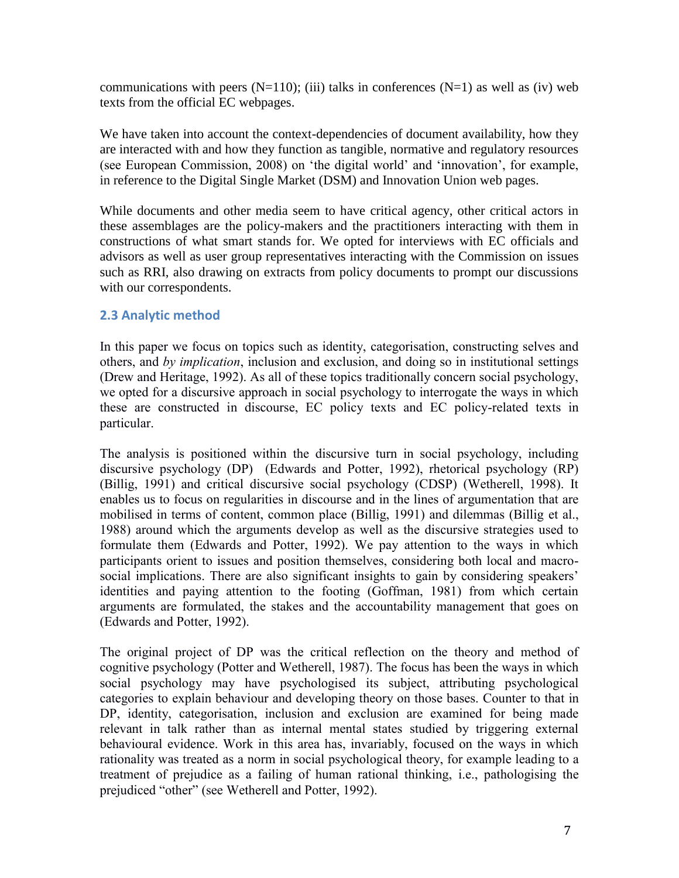communications with peers  $(N=110)$ ; (iii) talks in conferences  $(N=1)$  as well as (iv) web texts from the official EC webpages.

We have taken into account the context-dependencies of document availability, how they are interacted with and how they function as tangible, normative and regulatory resources (see European Commission, 2008) on 'the digital world' and 'innovation', for example, in reference to the Digital Single Market (DSM) and Innovation Union web pages.

While documents and other media seem to have critical agency, other critical actors in these assemblages are the policy-makers and the practitioners interacting with them in constructions of what smart stands for. We opted for interviews with EC officials and advisors as well as user group representatives interacting with the Commission on issues such as RRI, also drawing on extracts from policy documents to prompt our discussions with our correspondents.

### **2.3 Analytic method**

In this paper we focus on topics such as identity, categorisation, constructing selves and others, and *by implication*, inclusion and exclusion, and doing so in institutional settings (Drew and Heritage, 1992). As all of these topics traditionally concern social psychology, we opted for a discursive approach in social psychology to interrogate the ways in which these are constructed in discourse, EC policy texts and EC policy-related texts in particular.

The analysis is positioned within the discursive turn in social psychology, including discursive psychology (DP) (Edwards and Potter, 1992), rhetorical psychology (RP) (Billig, 1991) and critical discursive social psychology (CDSP) (Wetherell, 1998). It enables us to focus on regularities in discourse and in the lines of argumentation that are mobilised in terms of content, common place (Billig, 1991) and dilemmas (Billig et al., 1988) around which the arguments develop as well as the discursive strategies used to formulate them (Edwards and Potter, 1992). We pay attention to the ways in which participants orient to issues and position themselves, considering both local and macrosocial implications. There are also significant insights to gain by considering speakers' identities and paying attention to the footing (Goffman, 1981) from which certain arguments are formulated, the stakes and the accountability management that goes on (Edwards and Potter, 1992).

The original project of DP was the critical reflection on the theory and method of cognitive psychology (Potter and Wetherell, 1987). The focus has been the ways in which social psychology may have psychologised its subject, attributing psychological categories to explain behaviour and developing theory on those bases. Counter to that in DP, identity, categorisation, inclusion and exclusion are examined for being made relevant in talk rather than as internal mental states studied by triggering external behavioural evidence. Work in this area has, invariably, focused on the ways in which rationality was treated as a norm in social psychological theory, for example leading to a treatment of prejudice as a failing of human rational thinking, i.e., pathologising the prejudiced "other" (see Wetherell and Potter, 1992).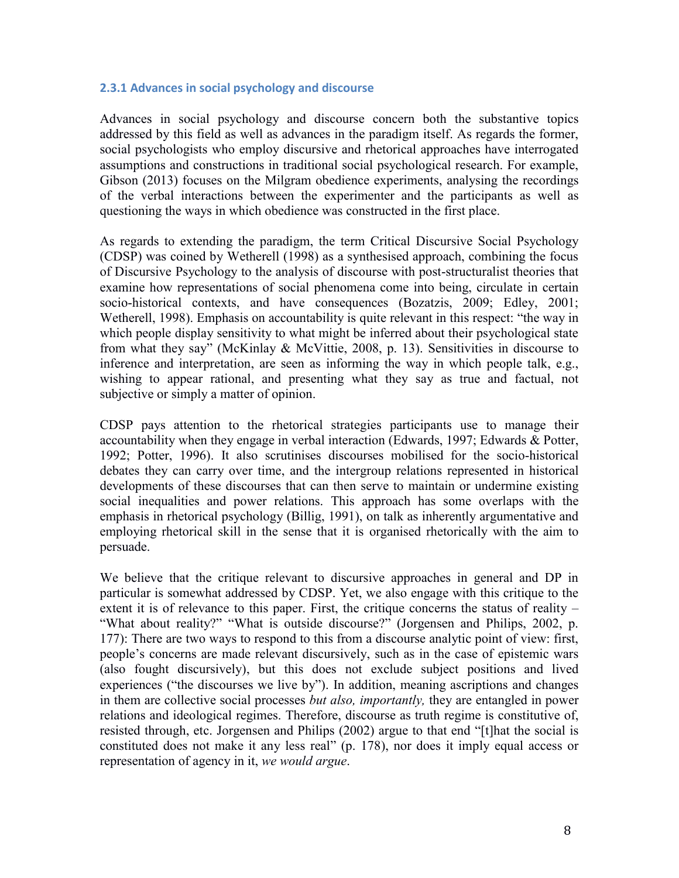#### **2.3.1 Advances in social psychology and discourse**

Advances in social psychology and discourse concern both the substantive topics addressed by this field as well as advances in the paradigm itself. As regards the former, social psychologists who employ discursive and rhetorical approaches have interrogated assumptions and constructions in traditional social psychological research. For example, Gibson (2013) focuses on the Milgram obedience experiments, analysing the recordings of the verbal interactions between the experimenter and the participants as well as questioning the ways in which obedience was constructed in the first place.

As regards to extending the paradigm, the term Critical Discursive Social Psychology (CDSP) was coined by Wetherell (1998) as a synthesised approach, combining the focus of Discursive Psychology to the analysis of discourse with post-structuralist theories that examine how representations of social phenomena come into being, circulate in certain socio-historical contexts, and have consequences (Bozatzis, 2009; Edley, 2001; Wetherell, 1998). Emphasis on accountability is quite relevant in this respect: "the way in which people display sensitivity to what might be inferred about their psychological state from what they say" (McKinlay & McVittie, 2008, p. 13). Sensitivities in discourse to inference and interpretation, are seen as informing the way in which people talk, e.g., wishing to appear rational, and presenting what they say as true and factual, not subjective or simply a matter of opinion.

CDSP pays attention to the rhetorical strategies participants use to manage their accountability when they engage in verbal interaction (Edwards, 1997; Edwards & Potter, 1992; Potter, 1996). It also scrutinises discourses mobilised for the socio-historical debates they can carry over time, and the intergroup relations represented in historical developments of these discourses that can then serve to maintain or undermine existing social inequalities and power relations. This approach has some overlaps with the emphasis in rhetorical psychology (Billig, 1991), on talk as inherently argumentative and employing rhetorical skill in the sense that it is organised rhetorically with the aim to persuade.

We believe that the critique relevant to discursive approaches in general and DP in particular is somewhat addressed by CDSP. Yet, we also engage with this critique to the extent it is of relevance to this paper. First, the critique concerns the status of reality – "What about reality?" "What is outside discourse?" (Jorgensen and Philips, 2002, p. 177): There are two ways to respond to this from a discourse analytic point of view: first, people's concerns are made relevant discursively, such as in the case of epistemic wars (also fought discursively), but this does not exclude subject positions and lived experiences ("the discourses we live by"). In addition, meaning ascriptions and changes in them are collective social processes *but also, importantly,* they are entangled in power relations and ideological regimes. Therefore, discourse as truth regime is constitutive of, resisted through, etc. Jorgensen and Philips (2002) argue to that end "[t]hat the social is constituted does not make it any less real" (p. 178), nor does it imply equal access or representation of agency in it, *we would argue*.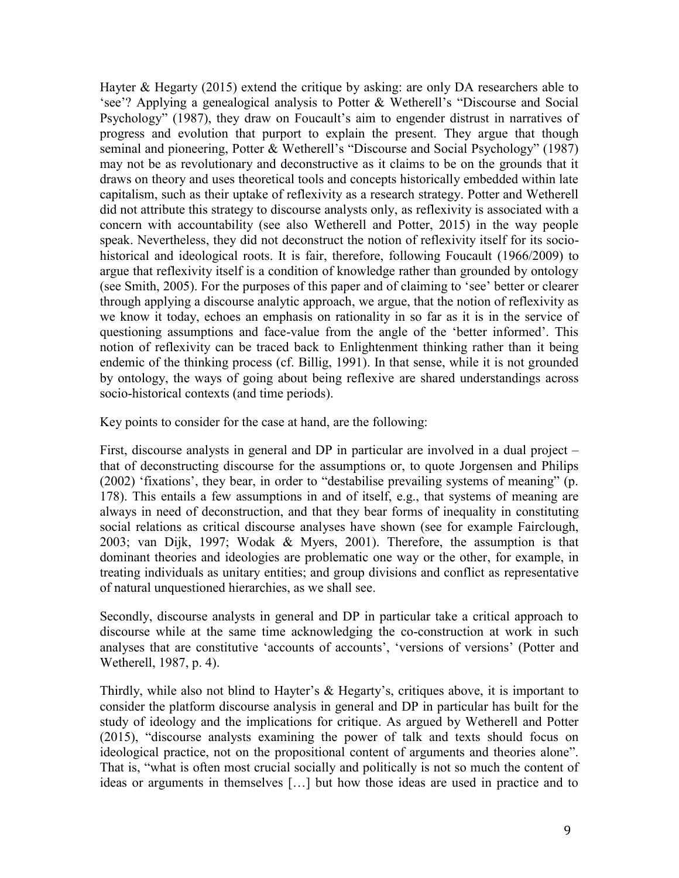Hayter & Hegarty (2015) extend the critique by asking: are only DA researchers able to 'see'? Applying a genealogical analysis to Potter & Wetherell's "Discourse and Social Psychology" (1987), they draw on Foucault's aim to engender distrust in narratives of progress and evolution that purport to explain the present. They argue that though seminal and pioneering, Potter & Wetherell's "Discourse and Social Psychology" (1987) may not be as revolutionary and deconstructive as it claims to be on the grounds that it draws on theory and uses theoretical tools and concepts historically embedded within late capitalism, such as their uptake of reflexivity as a research strategy. Potter and Wetherell did not attribute this strategy to discourse analysts only, as reflexivity is associated with a concern with accountability (see also Wetherell and Potter, 2015) in the way people speak. Nevertheless, they did not deconstruct the notion of reflexivity itself for its sociohistorical and ideological roots. It is fair, therefore, following Foucault (1966/2009) to argue that reflexivity itself is a condition of knowledge rather than grounded by ontology (see Smith, 2005). For the purposes of this paper and of claiming to 'see' better or clearer through applying a discourse analytic approach, we argue, that the notion of reflexivity as we know it today, echoes an emphasis on rationality in so far as it is in the service of questioning assumptions and face-value from the angle of the 'better informed'. This notion of reflexivity can be traced back to Enlightenment thinking rather than it being endemic of the thinking process (cf. Billig, 1991). In that sense, while it is not grounded by ontology, the ways of going about being reflexive are shared understandings across socio-historical contexts (and time periods).

Key points to consider for the case at hand, are the following:

First, discourse analysts in general and DP in particular are involved in a dual project – that of deconstructing discourse for the assumptions or, to quote Jorgensen and Philips (2002) 'fixations', they bear, in order to "destabilise prevailing systems of meaning" (p. 178). This entails a few assumptions in and of itself, e.g., that systems of meaning are always in need of deconstruction, and that they bear forms of inequality in constituting social relations as critical discourse analyses have shown (see for example Fairclough, 2003; van Dijk, 1997; Wodak & Myers, 2001). Therefore, the assumption is that dominant theories and ideologies are problematic one way or the other, for example, in treating individuals as unitary entities; and group divisions and conflict as representative of natural unquestioned hierarchies, as we shall see.

Secondly, discourse analysts in general and DP in particular take a critical approach to discourse while at the same time acknowledging the co-construction at work in such analyses that are constitutive 'accounts of accounts', 'versions of versions' (Potter and Wetherell, 1987, p. 4).

Thirdly, while also not blind to Hayter's & Hegarty's, critiques above, it is important to consider the platform discourse analysis in general and DP in particular has built for the study of ideology and the implications for critique. As argued by Wetherell and Potter (2015), "discourse analysts examining the power of talk and texts should focus on ideological practice, not on the propositional content of arguments and theories alone". That is, "what is often most crucial socially and politically is not so much the content of ideas or arguments in themselves […] but how those ideas are used in practice and to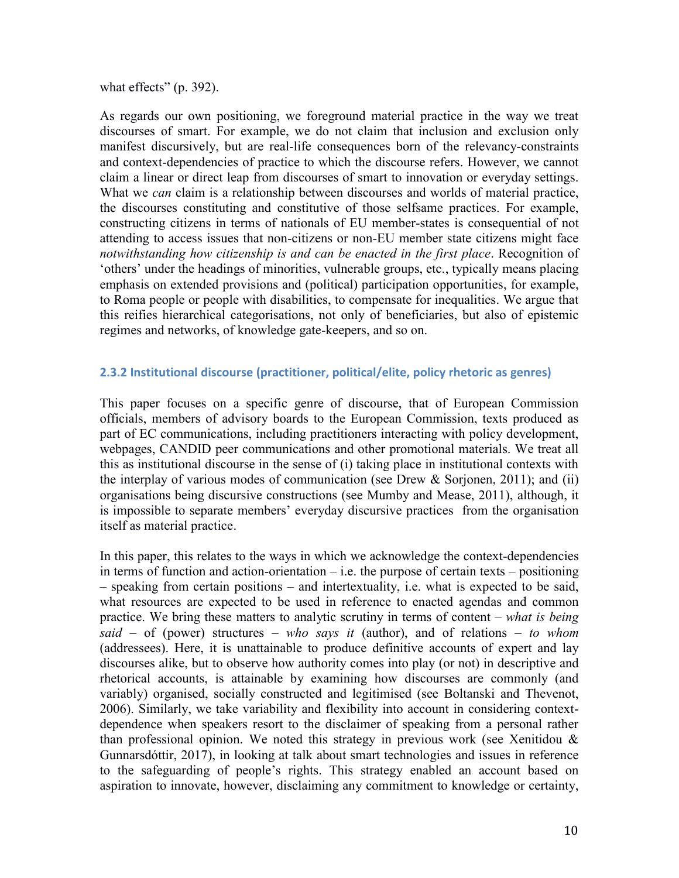what effects" (p. 392).

As regards our own positioning, we foreground material practice in the way we treat discourses of smart. For example, we do not claim that inclusion and exclusion only manifest discursively, but are real-life consequences born of the relevancy-constraints and context-dependencies of practice to which the discourse refers. However, we cannot claim a linear or direct leap from discourses of smart to innovation or everyday settings. What we *can* claim is a relationship between discourses and worlds of material practice, the discourses constituting and constitutive of those selfsame practices. For example, constructing citizens in terms of nationals of EU member-states is consequential of not attending to access issues that non-citizens or non-EU member state citizens might face *notwithstanding how citizenship is and can be enacted in the first place*. Recognition of 'others' under the headings of minorities, vulnerable groups, etc., typically means placing emphasis on extended provisions and (political) participation opportunities, for example, to Roma people or people with disabilities, to compensate for inequalities. We argue that this reifies hierarchical categorisations, not only of beneficiaries, but also of epistemic regimes and networks, of knowledge gate-keepers, and so on.

#### **2.3.2 Institutional discourse (practitioner, political/elite, policy rhetoric as genres)**

This paper focuses on a specific genre of discourse, that of European Commission officials, members of advisory boards to the European Commission, texts produced as part of EC communications, including practitioners interacting with policy development, webpages, CANDID peer communications and other promotional materials. We treat all this as institutional discourse in the sense of (i) taking place in institutional contexts with the interplay of various modes of communication (see Drew  $\&$  Sorjonen, 2011); and (ii) organisations being discursive constructions (see Mumby and Mease, 2011), although, it is impossible to separate members' everyday discursive practices from the organisation itself as material practice.

In this paper, this relates to the ways in which we acknowledge the context-dependencies in terms of function and action-orientation  $-$  i.e. the purpose of certain texts – positioning – speaking from certain positions – and intertextuality, i.e. what is expected to be said, what resources are expected to be used in reference to enacted agendas and common practice. We bring these matters to analytic scrutiny in terms of content – *what is being said* – of (power) structures – *who says it* (author), and of relations – *to whom* (addressees). Here, it is unattainable to produce definitive accounts of expert and lay discourses alike, but to observe how authority comes into play (or not) in descriptive and rhetorical accounts, is attainable by examining how discourses are commonly (and variably) organised, socially constructed and legitimised (see Boltanski and Thevenot, 2006). Similarly, we take variability and flexibility into account in considering contextdependence when speakers resort to the disclaimer of speaking from a personal rather than professional opinion. We noted this strategy in previous work (see Xenitidou  $\&$ Gunnarsdóttir, 2017), in looking at talk about smart technologies and issues in reference to the safeguarding of people's rights. This strategy enabled an account based on aspiration to innovate, however, disclaiming any commitment to knowledge or certainty,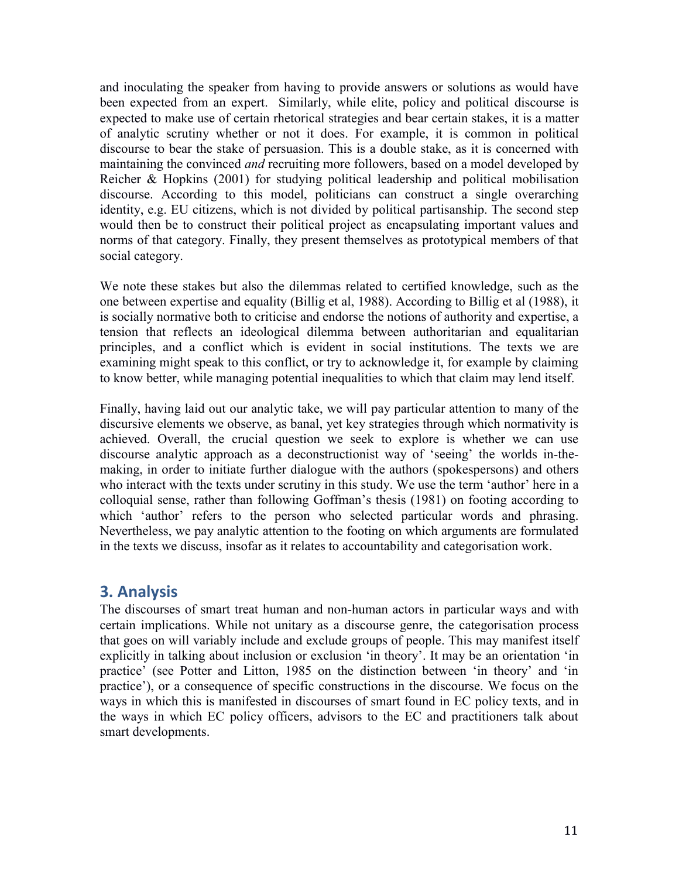and inoculating the speaker from having to provide answers or solutions as would have been expected from an expert. Similarly, while elite, policy and political discourse is expected to make use of certain rhetorical strategies and bear certain stakes, it is a matter of analytic scrutiny whether or not it does. For example, it is common in political discourse to bear the stake of persuasion. This is a double stake, as it is concerned with maintaining the convinced *and* recruiting more followers, based on a model developed by Reicher & Hopkins (2001) for studying political leadership and political mobilisation discourse. According to this model, politicians can construct a single overarching identity, e.g. EU citizens, which is not divided by political partisanship. The second step would then be to construct their political project as encapsulating important values and norms of that category. Finally, they present themselves as prototypical members of that social category.

We note these stakes but also the dilemmas related to certified knowledge, such as the one between expertise and equality (Billig et al, 1988). According to Billig et al (1988), it is socially normative both to criticise and endorse the notions of authority and expertise, a tension that reflects an ideological dilemma between authoritarian and equalitarian principles, and a conflict which is evident in social institutions. The texts we are examining might speak to this conflict, or try to acknowledge it, for example by claiming to know better, while managing potential inequalities to which that claim may lend itself.

Finally, having laid out our analytic take, we will pay particular attention to many of the discursive elements we observe, as banal, yet key strategies through which normativity is achieved. Overall, the crucial question we seek to explore is whether we can use discourse analytic approach as a deconstructionist way of 'seeing' the worlds in-themaking, in order to initiate further dialogue with the authors (spokespersons) and others who interact with the texts under scrutiny in this study. We use the term 'author' here in a colloquial sense, rather than following Goffman's thesis (1981) on footing according to which 'author' refers to the person who selected particular words and phrasing. Nevertheless, we pay analytic attention to the footing on which arguments are formulated in the texts we discuss, insofar as it relates to accountability and categorisation work.

## **3. Analysis**

The discourses of smart treat human and non-human actors in particular ways and with certain implications. While not unitary as a discourse genre, the categorisation process that goes on will variably include and exclude groups of people. This may manifest itself explicitly in talking about inclusion or exclusion 'in theory'. It may be an orientation 'in practice' (see Potter and Litton, 1985 on the distinction between 'in theory' and 'in practice'), or a consequence of specific constructions in the discourse. We focus on the ways in which this is manifested in discourses of smart found in EC policy texts, and in the ways in which EC policy officers, advisors to the EC and practitioners talk about smart developments.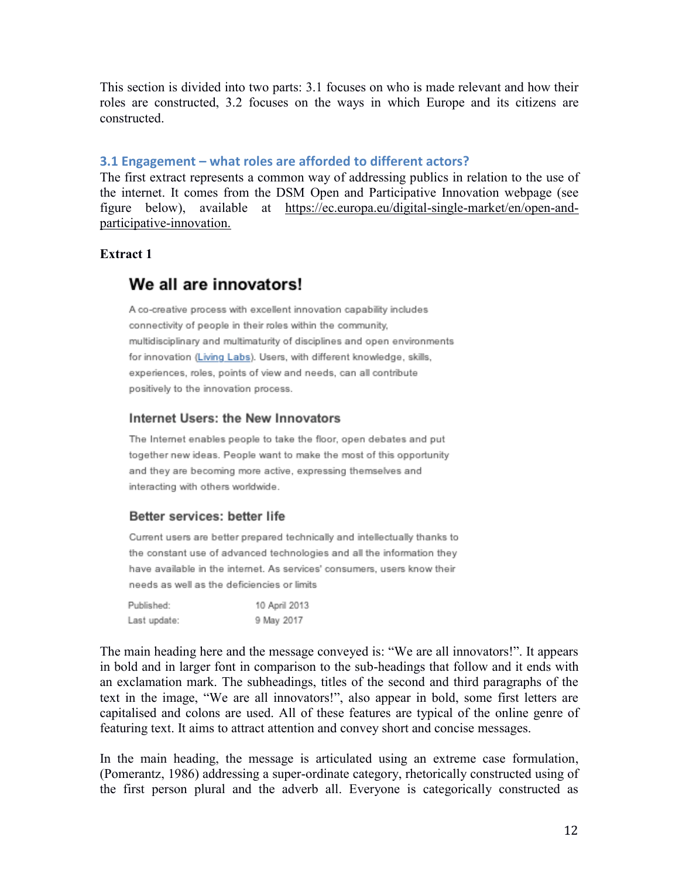This section is divided into two parts: 3.1 focuses on who is made relevant and how their roles are constructed, 3.2 focuses on the ways in which Europe and its citizens are constructed.

#### **3.1 Engagement – what roles are afforded to different actors?**

The first extract represents a common way of addressing publics in relation to the use of the internet. It comes from the DSM Open and Participative Innovation webpage (see figure below), available at [https://ec.europa.eu/digital-single-market/en/open-and](https://ec.europa.eu/digital-single-market/en/open-and-participative-innovation)[participative-innovation.](https://ec.europa.eu/digital-single-market/en/open-and-participative-innovation)

### **Extract 1**

## We all are innovators!

A co-creative process with excellent innovation capability includes connectivity of people in their roles within the community. multidisciplinary and multimaturity of disciplines and open environments for innovation (Living Labs). Users, with different knowledge, skills, experiences, roles, points of view and needs, can all contribute positively to the innovation process.

#### Internet Users: the New Innovators

The Internet enables people to take the floor, open debates and put together new ideas. People want to make the most of this opportunity and they are becoming more active, expressing themselves and interacting with others worldwide.

#### Better services: better life

Current users are better prepared technically and intellectually thanks to the constant use of advanced technologies and all the information they have available in the internet. As services' consumers, users know their needs as well as the deficiencies or limits

| Published:   | 10 April 2013 |
|--------------|---------------|
| Last update: | 9 May 2017    |

The main heading here and the message conveyed is: "We are all innovators!". It appears in bold and in larger font in comparison to the sub-headings that follow and it ends with an exclamation mark. The subheadings, titles of the second and third paragraphs of the text in the image, "We are all innovators!", also appear in bold, some first letters are capitalised and colons are used. All of these features are typical of the online genre of featuring text. It aims to attract attention and convey short and concise messages.

In the main heading, the message is articulated using an extreme case formulation, (Pomerantz, 1986) addressing a super-ordinate category, rhetorically constructed using of the first person plural and the adverb all. Everyone is categorically constructed as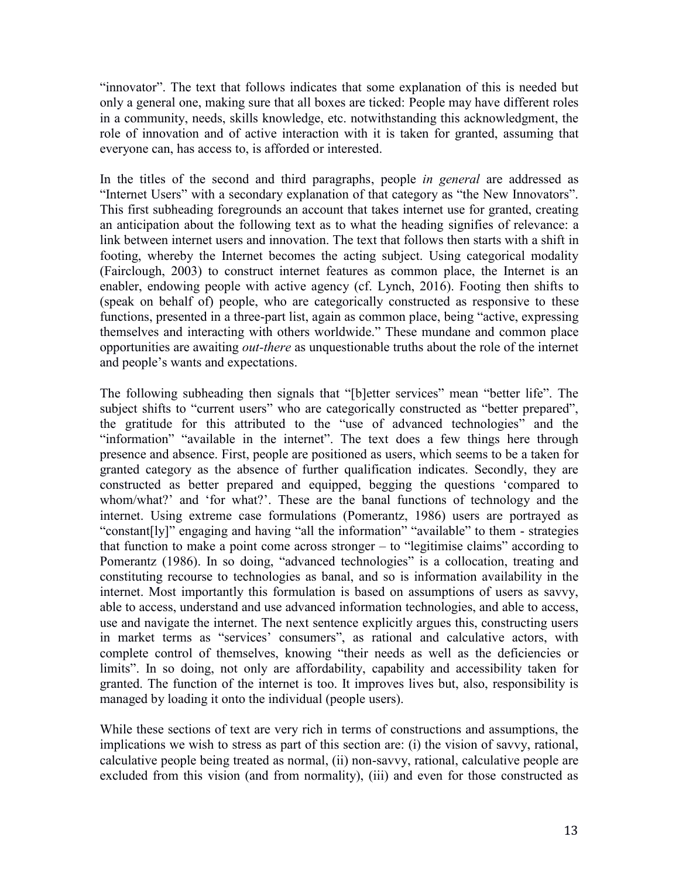"innovator". The text that follows indicates that some explanation of this is needed but only a general one, making sure that all boxes are ticked: People may have different roles in a community, needs, skills knowledge, etc. notwithstanding this acknowledgment, the role of innovation and of active interaction with it is taken for granted, assuming that everyone can, has access to, is afforded or interested.

In the titles of the second and third paragraphs, people *in general* are addressed as "Internet Users" with a secondary explanation of that category as "the New Innovators". This first subheading foregrounds an account that takes internet use for granted, creating an anticipation about the following text as to what the heading signifies of relevance: a link between internet users and innovation. The text that follows then starts with a shift in footing, whereby the Internet becomes the acting subject. Using categorical modality (Fairclough, 2003) to construct internet features as common place, the Internet is an enabler, endowing people with active agency (cf. Lynch, 2016). Footing then shifts to (speak on behalf of) people, who are categorically constructed as responsive to these functions, presented in a three-part list, again as common place, being "active, expressing themselves and interacting with others worldwide." These mundane and common place opportunities are awaiting *out-there* as unquestionable truths about the role of the internet and people's wants and expectations.

The following subheading then signals that "[b]etter services" mean "better life". The subject shifts to "current users" who are categorically constructed as "better prepared", the gratitude for this attributed to the "use of advanced technologies" and the "information" "available in the internet". The text does a few things here through presence and absence. First, people are positioned as users, which seems to be a taken for granted category as the absence of further qualification indicates. Secondly, they are constructed as better prepared and equipped, begging the questions 'compared to whom/what?' and 'for what?'. These are the banal functions of technology and the internet. Using extreme case formulations (Pomerantz, 1986) users are portrayed as "constant[ly]" engaging and having "all the information" "available" to them - strategies that function to make a point come across stronger – to "legitimise claims" according to Pomerantz (1986). In so doing, "advanced technologies" is a collocation, treating and constituting recourse to technologies as banal, and so is information availability in the internet. Most importantly this formulation is based on assumptions of users as savvy, able to access, understand and use advanced information technologies, and able to access, use and navigate the internet. The next sentence explicitly argues this, constructing users in market terms as "services' consumers", as rational and calculative actors, with complete control of themselves, knowing "their needs as well as the deficiencies or limits". In so doing, not only are affordability, capability and accessibility taken for granted. The function of the internet is too. It improves lives but, also, responsibility is managed by loading it onto the individual (people users).

While these sections of text are very rich in terms of constructions and assumptions, the implications we wish to stress as part of this section are: (i) the vision of savvy, rational, calculative people being treated as normal, (ii) non-savvy, rational, calculative people are excluded from this vision (and from normality), (iii) and even for those constructed as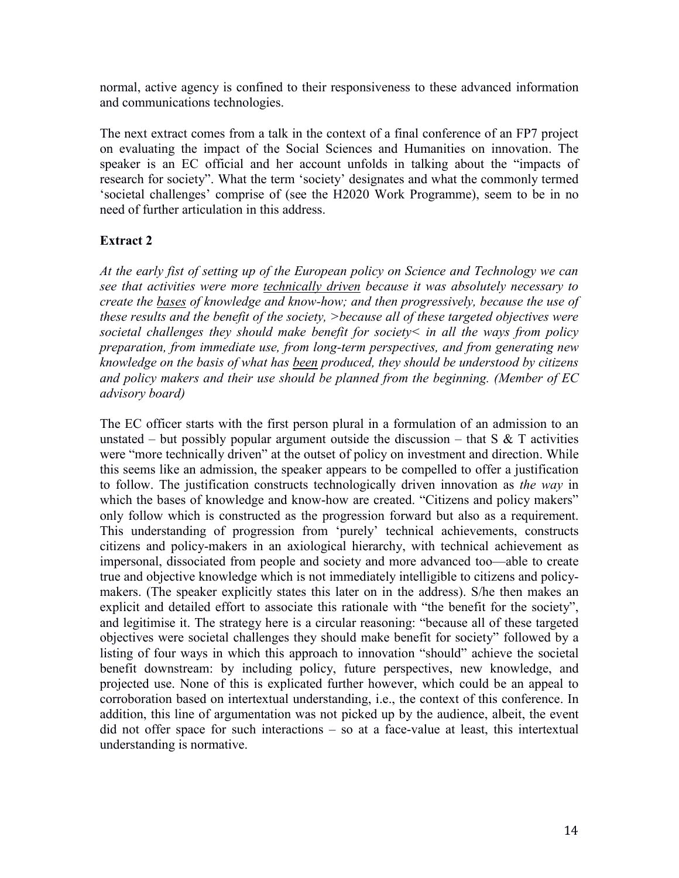normal, active agency is confined to their responsiveness to these advanced information and communications technologies.

The next extract comes from a talk in the context of a final conference of an FP7 project on evaluating the impact of the Social Sciences and Humanities on innovation. The speaker is an EC official and her account unfolds in talking about the "impacts of research for society". What the term 'society' designates and what the commonly termed 'societal challenges' comprise of (see the H2020 Work Programme), seem to be in no need of further articulation in this address.

## **Extract 2**

*At the early fist of setting up of the European policy on Science and Technology we can see that activities were more technically driven because it was absolutely necessary to create the bases of knowledge and know-how; and then progressively, because the use of these results and the benefit of the society, >because all of these targeted objectives were societal challenges they should make benefit for society< in all the ways from policy preparation, from immediate use, from long-term perspectives, and from generating new knowledge on the basis of what has been produced, they should be understood by citizens and policy makers and their use should be planned from the beginning. (Member of EC advisory board)*

The EC officer starts with the first person plural in a formulation of an admission to an unstated – but possibly popular argument outside the discussion – that  $S \& T$  activities were "more technically driven" at the outset of policy on investment and direction. While this seems like an admission, the speaker appears to be compelled to offer a justification to follow. The justification constructs technologically driven innovation as *the way* in which the bases of knowledge and know-how are created. "Citizens and policy makers" only follow which is constructed as the progression forward but also as a requirement. This understanding of progression from 'purely' technical achievements, constructs citizens and policy-makers in an axiological hierarchy, with technical achievement as impersonal, dissociated from people and society and more advanced too—able to create true and objective knowledge which is not immediately intelligible to citizens and policymakers. (The speaker explicitly states this later on in the address). S/he then makes an explicit and detailed effort to associate this rationale with "the benefit for the society", and legitimise it. The strategy here is a circular reasoning: "because all of these targeted objectives were societal challenges they should make benefit for society" followed by a listing of four ways in which this approach to innovation "should" achieve the societal benefit downstream: by including policy, future perspectives, new knowledge, and projected use. None of this is explicated further however, which could be an appeal to corroboration based on intertextual understanding, i.e., the context of this conference. In addition, this line of argumentation was not picked up by the audience, albeit, the event did not offer space for such interactions – so at a face-value at least, this intertextual understanding is normative.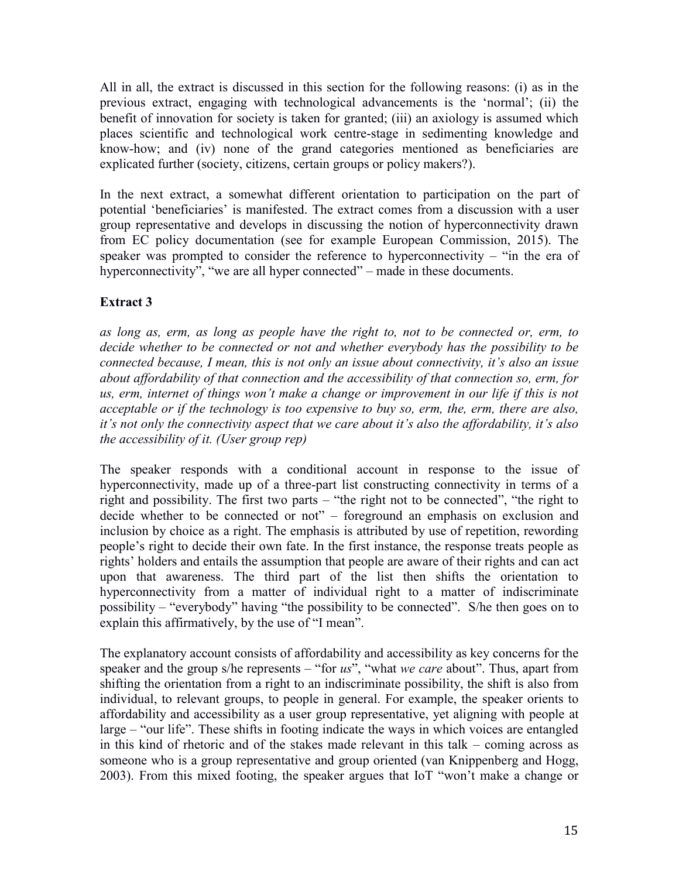All in all, the extract is discussed in this section for the following reasons: (i) as in the previous extract, engaging with technological advancements is the 'normal'; (ii) the benefit of innovation for society is taken for granted; (iii) an axiology is assumed which places scientific and technological work centre-stage in sedimenting knowledge and know-how; and (iv) none of the grand categories mentioned as beneficiaries are explicated further (society, citizens, certain groups or policy makers?).

In the next extract, a somewhat different orientation to participation on the part of potential 'beneficiaries' is manifested. The extract comes from a discussion with a user group representative and develops in discussing the notion of hyperconnectivity drawn from EC policy documentation (see for example European Commission, 2015). The speaker was prompted to consider the reference to hyperconnectivity – "in the era of hyperconnectivity", "we are all hyper connected" – made in these documents.

## **Extract 3**

*as long as, erm, as long as people have the right to, not to be connected or, erm, to decide whether to be connected or not and whether everybody has the possibility to be connected because, I mean, this is not only an issue about connectivity, it's also an issue about affordability of that connection and the accessibility of that connection so, erm, for*  us, erm, internet of things won't make a change or improvement in our life if this is not *acceptable or if the technology is too expensive to buy so, erm, the, erm, there are also, it's not only the connectivity aspect that we care about it's also the affordability, it's also the accessibility of it. (User group rep)*

The speaker responds with a conditional account in response to the issue of hyperconnectivity, made up of a three-part list constructing connectivity in terms of a right and possibility. The first two parts – "the right not to be connected", "the right to decide whether to be connected or not" – foreground an emphasis on exclusion and inclusion by choice as a right. The emphasis is attributed by use of repetition, rewording people's right to decide their own fate. In the first instance, the response treats people as rights' holders and entails the assumption that people are aware of their rights and can act upon that awareness. The third part of the list then shifts the orientation to hyperconnectivity from a matter of individual right to a matter of indiscriminate possibility – "everybody" having "the possibility to be connected". S/he then goes on to explain this affirmatively, by the use of "I mean".

The explanatory account consists of affordability and accessibility as key concerns for the speaker and the group s/he represents – "for *us*", "what *we care* about". Thus, apart from shifting the orientation from a right to an indiscriminate possibility, the shift is also from individual, to relevant groups, to people in general. For example, the speaker orients to affordability and accessibility as a user group representative, yet aligning with people at large – "our life". These shifts in footing indicate the ways in which voices are entangled in this kind of rhetoric and of the stakes made relevant in this talk – coming across as someone who is a group representative and group oriented (van Knippenberg and Hogg, 2003). From this mixed footing, the speaker argues that IoT "won't make a change or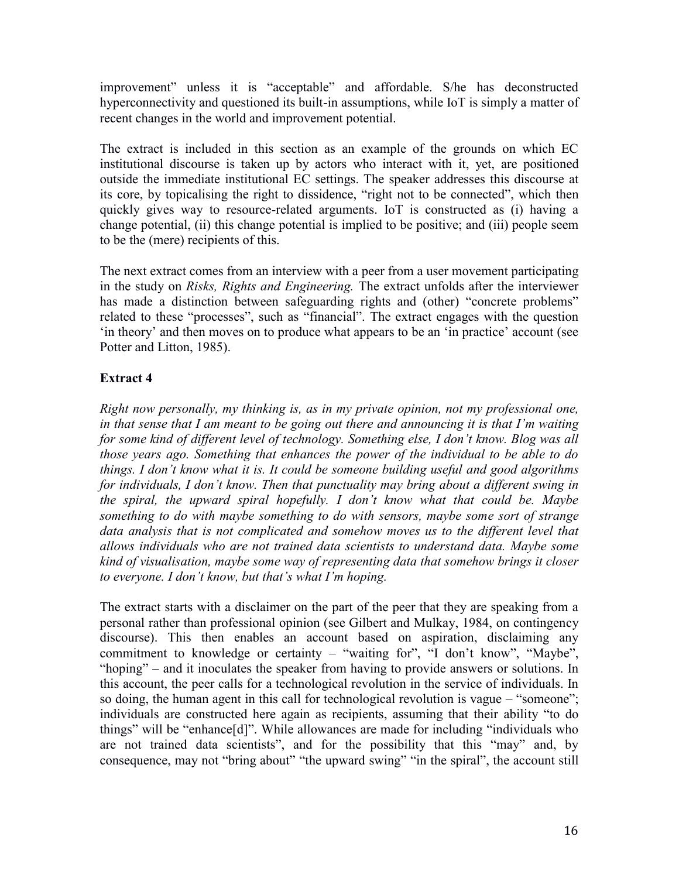improvement" unless it is "acceptable" and affordable. S/he has deconstructed hyperconnectivity and questioned its built-in assumptions, while IoT is simply a matter of recent changes in the world and improvement potential.

The extract is included in this section as an example of the grounds on which EC institutional discourse is taken up by actors who interact with it, yet, are positioned outside the immediate institutional EC settings. The speaker addresses this discourse at its core, by topicalising the right to dissidence, "right not to be connected", which then quickly gives way to resource-related arguments. IoT is constructed as (i) having a change potential, (ii) this change potential is implied to be positive; and (iii) people seem to be the (mere) recipients of this.

The next extract comes from an interview with a peer from a user movement participating in the study on *Risks, Rights and Engineering.* The extract unfolds after the interviewer has made a distinction between safeguarding rights and (other) "concrete problems" related to these "processes", such as "financial". The extract engages with the question 'in theory' and then moves on to produce what appears to be an 'in practice' account (see Potter and Litton, 1985).

## **Extract 4**

*Right now personally, my thinking is, as in my private opinion, not my professional one, in that sense that I am meant to be going out there and announcing it is that I'm waiting for some kind of different level of technology. Something else, I don't know. Blog was all those years ago. Something that enhances the power of the individual to be able to do things. I don't know what it is. It could be someone building useful and good algorithms for individuals, I don't know. Then that punctuality may bring about a different swing in the spiral, the upward spiral hopefully. I don't know what that could be. Maybe something to do with maybe something to do with sensors, maybe some sort of strange*  data analysis that is not complicated and somehow moves us to the different level that *allows individuals who are not trained data scientists to understand data. Maybe some kind of visualisation, maybe some way of representing data that somehow brings it closer to everyone. I don't know, but that's what I'm hoping.*

The extract starts with a disclaimer on the part of the peer that they are speaking from a personal rather than professional opinion (see Gilbert and Mulkay, 1984, on contingency discourse). This then enables an account based on aspiration, disclaiming any commitment to knowledge or certainty – "waiting for", "I don't know", "Maybe", "hoping" – and it inoculates the speaker from having to provide answers or solutions. In this account, the peer calls for a technological revolution in the service of individuals. In so doing, the human agent in this call for technological revolution is vague – "someone"; individuals are constructed here again as recipients, assuming that their ability "to do things" will be "enhance[d]". While allowances are made for including "individuals who are not trained data scientists", and for the possibility that this "may" and, by consequence, may not "bring about" "the upward swing" "in the spiral", the account still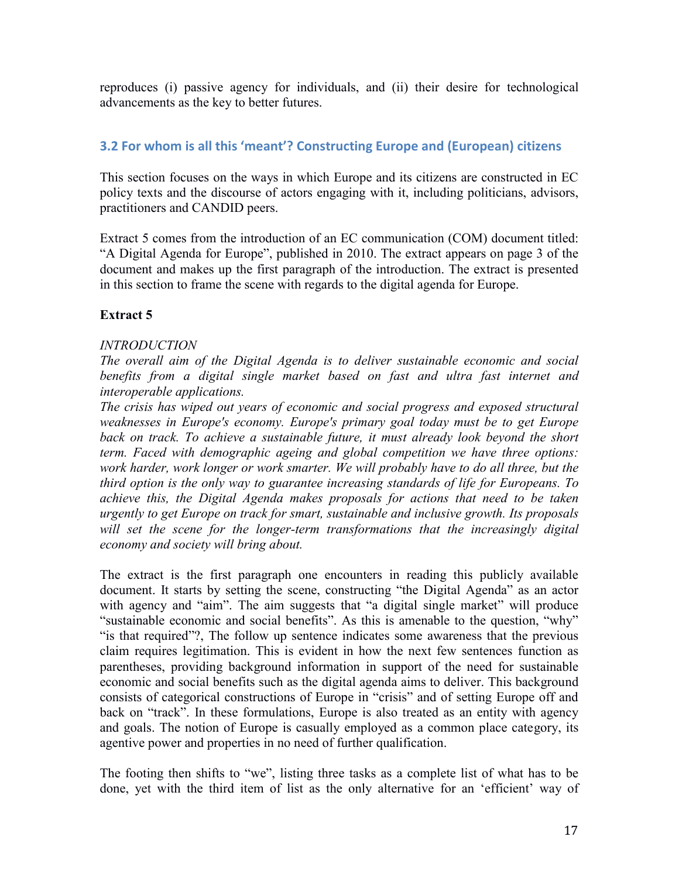reproduces (i) passive agency for individuals, and (ii) their desire for technological advancements as the key to better futures.

## **3.2 For whom is all this 'meant'? Constructing Europe and (European) citizens**

This section focuses on the ways in which Europe and its citizens are constructed in EC policy texts and the discourse of actors engaging with it, including politicians, advisors, practitioners and CANDID peers.

Extract 5 comes from the introduction of an EC communication (COM) document titled: "A Digital Agenda for Europe", published in 2010. The extract appears on page 3 of the document and makes up the first paragraph of the introduction. The extract is presented in this section to frame the scene with regards to the digital agenda for Europe.

## **Extract 5**

#### *INTRODUCTION*

*The overall aim of the Digital Agenda is to deliver sustainable economic and social benefits from a digital single market based on fast and ultra fast internet and interoperable applications.* 

*The crisis has wiped out years of economic and social progress and exposed structural weaknesses in Europe's economy. Europe's primary goal today must be to get Europe back on track. To achieve a sustainable future, it must already look beyond the short term. Faced with demographic ageing and global competition we have three options: work harder, work longer or work smarter. We will probably have to do all three, but the third option is the only way to guarantee increasing standards of life for Europeans. To achieve this, the Digital Agenda makes proposals for actions that need to be taken urgently to get Europe on track for smart, sustainable and inclusive growth. Its proposals*  will set the scene for the longer-term transformations that the increasingly digital *economy and society will bring about.* 

The extract is the first paragraph one encounters in reading this publicly available document. It starts by setting the scene, constructing "the Digital Agenda" as an actor with agency and "aim". The aim suggests that "a digital single market" will produce "sustainable economic and social benefits". As this is amenable to the question, "why" "is that required"?, The follow up sentence indicates some awareness that the previous claim requires legitimation. This is evident in how the next few sentences function as parentheses, providing background information in support of the need for sustainable economic and social benefits such as the digital agenda aims to deliver. This background consists of categorical constructions of Europe in "crisis" and of setting Europe off and back on "track". In these formulations, Europe is also treated as an entity with agency and goals. The notion of Europe is casually employed as a common place category, its agentive power and properties in no need of further qualification.

The footing then shifts to "we", listing three tasks as a complete list of what has to be done, yet with the third item of list as the only alternative for an 'efficient' way of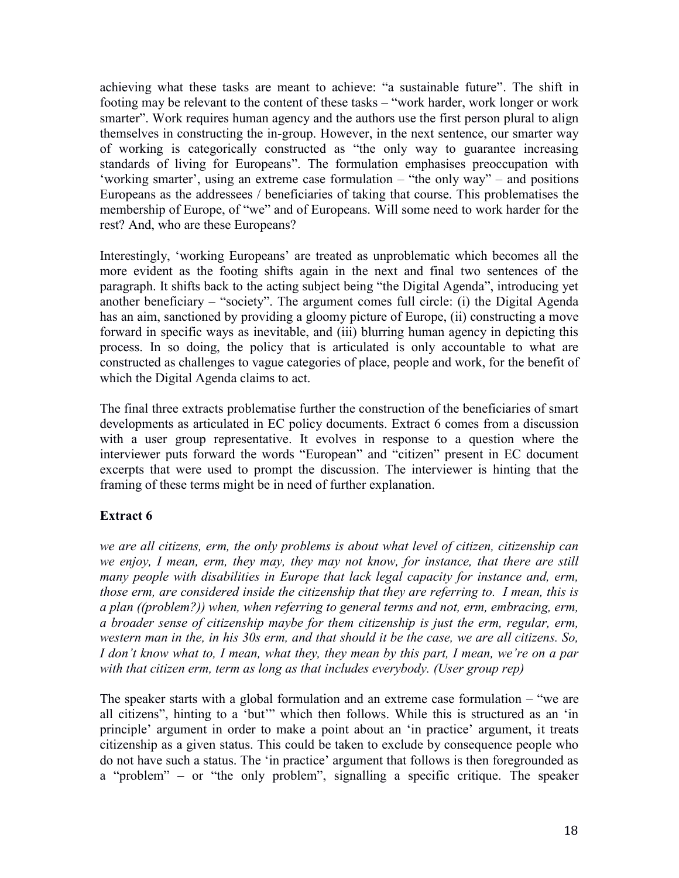achieving what these tasks are meant to achieve: "a sustainable future". The shift in footing may be relevant to the content of these tasks – "work harder, work longer or work smarter". Work requires human agency and the authors use the first person plural to align themselves in constructing the in-group. However, in the next sentence, our smarter way of working is categorically constructed as "the only way to guarantee increasing standards of living for Europeans". The formulation emphasises preoccupation with 'working smarter', using an extreme case formulation – "the only way" – and positions Europeans as the addressees / beneficiaries of taking that course. This problematises the membership of Europe, of "we" and of Europeans. Will some need to work harder for the rest? And, who are these Europeans?

Interestingly, 'working Europeans' are treated as unproblematic which becomes all the more evident as the footing shifts again in the next and final two sentences of the paragraph. It shifts back to the acting subject being "the Digital Agenda", introducing yet another beneficiary – "society". The argument comes full circle: (i) the Digital Agenda has an aim, sanctioned by providing a gloomy picture of Europe, (ii) constructing a move forward in specific ways as inevitable, and (iii) blurring human agency in depicting this process. In so doing, the policy that is articulated is only accountable to what are constructed as challenges to vague categories of place, people and work, for the benefit of which the Digital Agenda claims to act.

The final three extracts problematise further the construction of the beneficiaries of smart developments as articulated in EC policy documents. Extract 6 comes from a discussion with a user group representative. It evolves in response to a question where the interviewer puts forward the words "European" and "citizen" present in EC document excerpts that were used to prompt the discussion. The interviewer is hinting that the framing of these terms might be in need of further explanation.

## **Extract 6**

*we are all citizens, erm, the only problems is about what level of citizen, citizenship can we enjoy, I mean, erm, they may, they may not know, for instance, that there are still many people with disabilities in Europe that lack legal capacity for instance and, erm, those erm, are considered inside the citizenship that they are referring to. I mean, this is a plan ((problem?)) when, when referring to general terms and not, erm, embracing, erm, a broader sense of citizenship maybe for them citizenship is just the erm, regular, erm, western man in the, in his 30s erm, and that should it be the case, we are all citizens. So, I don't know what to, I mean, what they, they mean by this part, I mean, we're on a par with that citizen erm, term as long as that includes everybody. (User group rep)*

The speaker starts with a global formulation and an extreme case formulation – "we are all citizens", hinting to a 'but'" which then follows. While this is structured as an 'in principle' argument in order to make a point about an 'in practice' argument, it treats citizenship as a given status. This could be taken to exclude by consequence people who do not have such a status. The 'in practice' argument that follows is then foregrounded as a "problem" – or "the only problem", signalling a specific critique. The speaker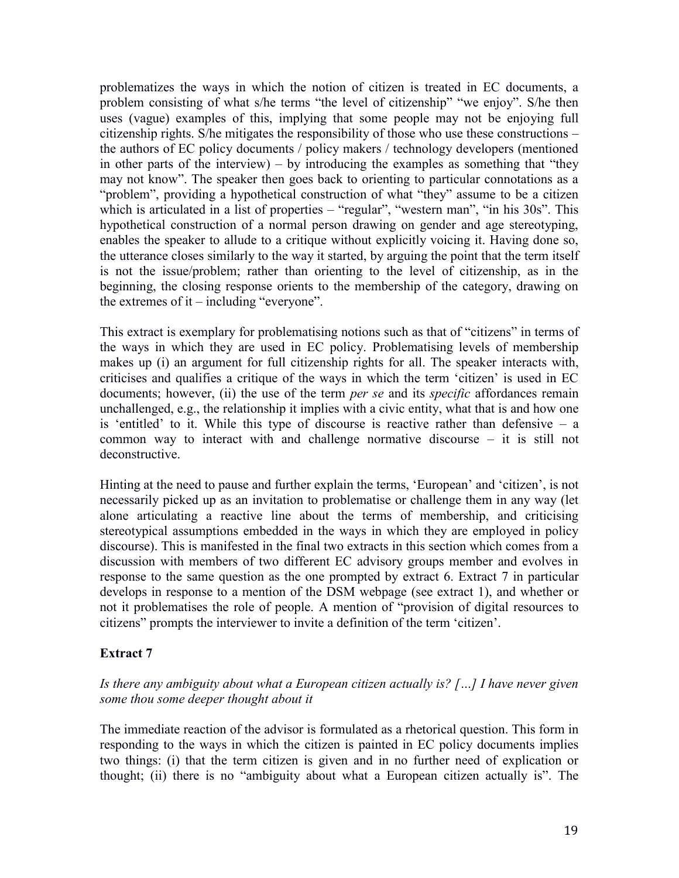problematizes the ways in which the notion of citizen is treated in EC documents, a problem consisting of what s/he terms "the level of citizenship" "we enjoy". S/he then uses (vague) examples of this, implying that some people may not be enjoying full citizenship rights. S/he mitigates the responsibility of those who use these constructions – the authors of EC policy documents / policy makers / technology developers (mentioned in other parts of the interview) – by introducing the examples as something that "they may not know". The speaker then goes back to orienting to particular connotations as a "problem", providing a hypothetical construction of what "they" assume to be a citizen which is articulated in a list of properties – "regular", "western man", "in his 30s". This hypothetical construction of a normal person drawing on gender and age stereotyping, enables the speaker to allude to a critique without explicitly voicing it. Having done so, the utterance closes similarly to the way it started, by arguing the point that the term itself is not the issue/problem; rather than orienting to the level of citizenship, as in the beginning, the closing response orients to the membership of the category, drawing on the extremes of it – including "everyone".

This extract is exemplary for problematising notions such as that of "citizens" in terms of the ways in which they are used in EC policy. Problematising levels of membership makes up (i) an argument for full citizenship rights for all. The speaker interacts with, criticises and qualifies a critique of the ways in which the term 'citizen' is used in EC documents; however, (ii) the use of the term *per se* and its *specific* affordances remain unchallenged, e.g., the relationship it implies with a civic entity, what that is and how one is 'entitled' to it. While this type of discourse is reactive rather than defensive  $-$  a common way to interact with and challenge normative discourse – it is still not deconstructive.

Hinting at the need to pause and further explain the terms, 'European' and 'citizen', is not necessarily picked up as an invitation to problematise or challenge them in any way (let alone articulating a reactive line about the terms of membership, and criticising stereotypical assumptions embedded in the ways in which they are employed in policy discourse). This is manifested in the final two extracts in this section which comes from a discussion with members of two different EC advisory groups member and evolves in response to the same question as the one prompted by extract 6. Extract 7 in particular develops in response to a mention of the DSM webpage (see extract 1), and whether or not it problematises the role of people. A mention of "provision of digital resources to citizens" prompts the interviewer to invite a definition of the term 'citizen'.

### **Extract 7**

### *Is there any ambiguity about what a European citizen actually is? […] I have never given some thou some deeper thought about it*

The immediate reaction of the advisor is formulated as a rhetorical question. This form in responding to the ways in which the citizen is painted in EC policy documents implies two things: (i) that the term citizen is given and in no further need of explication or thought; (ii) there is no "ambiguity about what a European citizen actually is". The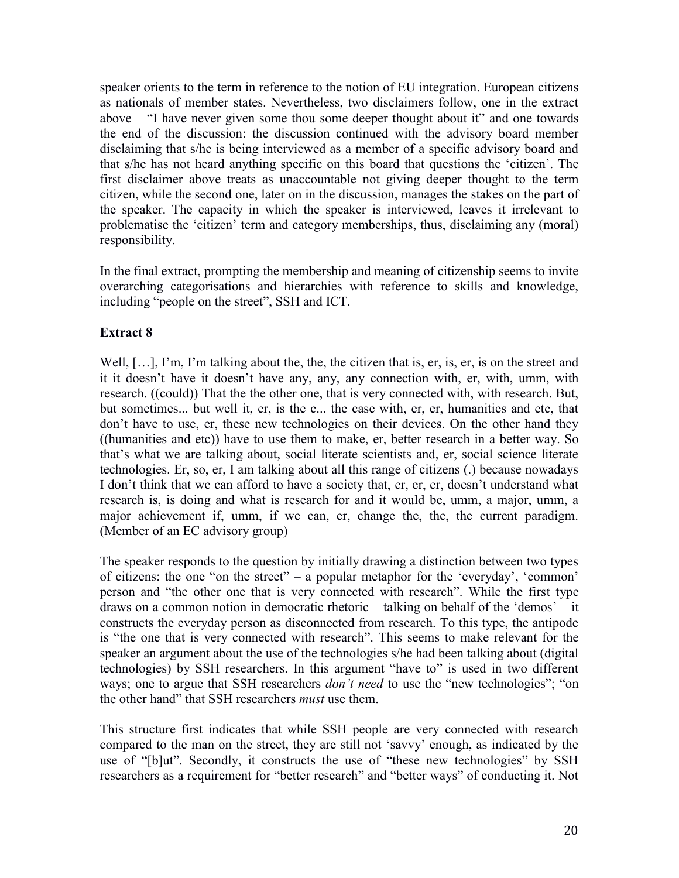speaker orients to the term in reference to the notion of EU integration. European citizens as nationals of member states. Nevertheless, two disclaimers follow, one in the extract above – "I have never given some thou some deeper thought about it" and one towards the end of the discussion: the discussion continued with the advisory board member disclaiming that s/he is being interviewed as a member of a specific advisory board and that s/he has not heard anything specific on this board that questions the 'citizen'. The first disclaimer above treats as unaccountable not giving deeper thought to the term citizen, while the second one, later on in the discussion, manages the stakes on the part of the speaker. The capacity in which the speaker is interviewed, leaves it irrelevant to problematise the 'citizen' term and category memberships, thus, disclaiming any (moral) responsibility.

In the final extract, prompting the membership and meaning of citizenship seems to invite overarching categorisations and hierarchies with reference to skills and knowledge, including "people on the street", SSH and ICT.

## **Extract 8**

Well, [...], I'm, I'm talking about the, the, the citizen that is, er, is, er, is on the street and it it doesn't have it doesn't have any, any, any connection with, er, with, umm, with research. ((could)) That the the other one, that is very connected with, with research. But, but sometimes... but well it, er, is the c... the case with, er, er, humanities and etc, that don't have to use, er, these new technologies on their devices. On the other hand they ((humanities and etc)) have to use them to make, er, better research in a better way. So that's what we are talking about, social literate scientists and, er, social science literate technologies. Er, so, er, I am talking about all this range of citizens (.) because nowadays I don't think that we can afford to have a society that, er, er, er, doesn't understand what research is, is doing and what is research for and it would be, umm, a major, umm, a major achievement if, umm, if we can, er, change the, the, the current paradigm. (Member of an EC advisory group)

The speaker responds to the question by initially drawing a distinction between two types of citizens: the one "on the street" – a popular metaphor for the 'everyday', 'common' person and "the other one that is very connected with research". While the first type draws on a common notion in democratic rhetoric – talking on behalf of the 'demos' – it constructs the everyday person as disconnected from research. To this type, the antipode is "the one that is very connected with research". This seems to make relevant for the speaker an argument about the use of the technologies s/he had been talking about (digital technologies) by SSH researchers. In this argument "have to" is used in two different ways; one to argue that SSH researchers *don't need* to use the "new technologies"; "on the other hand" that SSH researchers *must* use them.

This structure first indicates that while SSH people are very connected with research compared to the man on the street, they are still not 'savvy' enough, as indicated by the use of "[b]ut". Secondly, it constructs the use of "these new technologies" by SSH researchers as a requirement for "better research" and "better ways" of conducting it. Not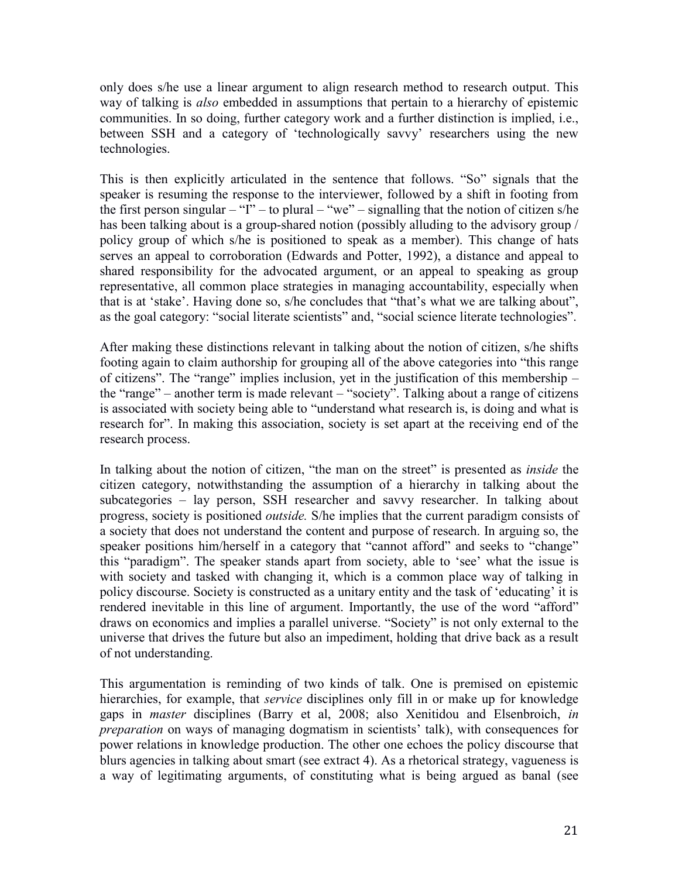only does s/he use a linear argument to align research method to research output. This way of talking is *also* embedded in assumptions that pertain to a hierarchy of epistemic communities. In so doing, further category work and a further distinction is implied, i.e., between SSH and a category of 'technologically savvy' researchers using the new technologies.

This is then explicitly articulated in the sentence that follows. "So" signals that the speaker is resuming the response to the interviewer, followed by a shift in footing from the first person singular – "I" – to plural – "we" – signalling that the notion of citizen s/he has been talking about is a group-shared notion (possibly alluding to the advisory group / policy group of which s/he is positioned to speak as a member). This change of hats serves an appeal to corroboration (Edwards and Potter, 1992), a distance and appeal to shared responsibility for the advocated argument, or an appeal to speaking as group representative, all common place strategies in managing accountability, especially when that is at 'stake'. Having done so, s/he concludes that "that's what we are talking about", as the goal category: "social literate scientists" and, "social science literate technologies".

After making these distinctions relevant in talking about the notion of citizen, s/he shifts footing again to claim authorship for grouping all of the above categories into "this range of citizens". The "range" implies inclusion, yet in the justification of this membership – the "range" – another term is made relevant – "society". Talking about a range of citizens is associated with society being able to "understand what research is, is doing and what is research for". In making this association, society is set apart at the receiving end of the research process.

In talking about the notion of citizen, "the man on the street" is presented as *inside* the citizen category, notwithstanding the assumption of a hierarchy in talking about the subcategories – lay person, SSH researcher and savvy researcher. In talking about progress, society is positioned *outside.* S/he implies that the current paradigm consists of a society that does not understand the content and purpose of research. In arguing so, the speaker positions him/herself in a category that "cannot afford" and seeks to "change" this "paradigm". The speaker stands apart from society, able to 'see' what the issue is with society and tasked with changing it, which is a common place way of talking in policy discourse. Society is constructed as a unitary entity and the task of 'educating' it is rendered inevitable in this line of argument. Importantly, the use of the word "afford" draws on economics and implies a parallel universe. "Society" is not only external to the universe that drives the future but also an impediment, holding that drive back as a result of not understanding.

This argumentation is reminding of two kinds of talk. One is premised on epistemic hierarchies, for example, that *service* disciplines only fill in or make up for knowledge gaps in *master* disciplines (Barry et al, 2008; also Xenitidou and Elsenbroich, *in preparation* on ways of managing dogmatism in scientists' talk), with consequences for power relations in knowledge production. The other one echoes the policy discourse that blurs agencies in talking about smart (see extract 4). As a rhetorical strategy, vagueness is a way of legitimating arguments, of constituting what is being argued as banal (see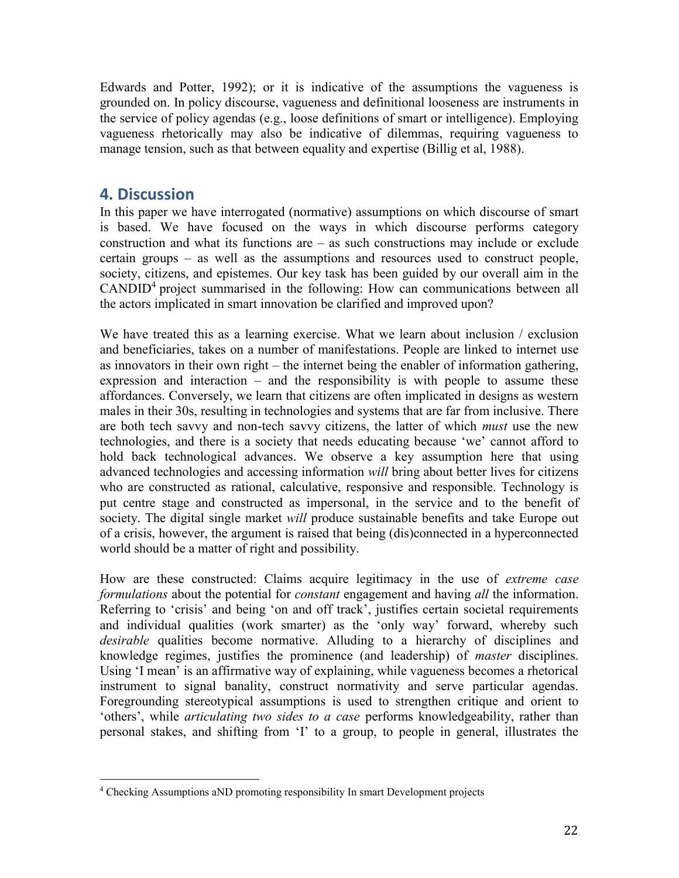Edwards and Potter, 1992); or it is indicative of the assumptions the vagueness is grounded on. In policy discourse, vagueness and definitional looseness are instruments in the service of policy agendas (e.g., loose definitions of smart or intelligence). Employing vagueness rhetorically may also be indicative of dilemmas, requiring vagueness to manage tension, such as that between equality and expertise (Billig et al, 1988).

## **4. Discussion**

In this paper we have interrogated (normative) assumptions on which discourse of smart is based. We have focused on the ways in which discourse performs category construction and what its functions are – as such constructions may include or exclude certain groups – as well as the assumptions and resources used to construct people, society, citizens, and epistemes. Our key task has been guided by our overall aim in the CANDID<sup>4</sup> project summarised in the following: How can communications between all the actors implicated in smart innovation be clarified and improved upon?

We have treated this as a learning exercise. What we learn about inclusion / exclusion and beneficiaries, takes on a number of manifestations. People are linked to internet use as innovators in their own right – the internet being the enabler of information gathering, expression and interaction – and the responsibility is with people to assume these affordances. Conversely, we learn that citizens are often implicated in designs as western males in their 30s, resulting in technologies and systems that are far from inclusive. There are both tech savvy and non-tech savvy citizens, the latter of which *must* use the new technologies, and there is a society that needs educating because 'we' cannot afford to hold back technological advances. We observe a key assumption here that using advanced technologies and accessing information *will* bring about better lives for citizens who are constructed as rational, calculative, responsive and responsible. Technology is put centre stage and constructed as impersonal, in the service and to the benefit of society. The digital single market *will* produce sustainable benefits and take Europe out of a crisis, however, the argument is raised that being (dis)connected in a hyperconnected world should be a matter of right and possibility.

How are these constructed: Claims acquire legitimacy in the use of *extreme case formulations* about the potential for *constant* engagement and having *all* the information. Referring to 'crisis' and being 'on and off track', justifies certain societal requirements and individual qualities (work smarter) as the 'only way' forward, whereby such *desirable* qualities become normative. Alluding to a hierarchy of disciplines and knowledge regimes, justifies the prominence (and leadership) of *master* disciplines. Using 'I mean' is an affirmative way of explaining, while vagueness becomes a rhetorical instrument to signal banality, construct normativity and serve particular agendas. Foregrounding stereotypical assumptions is used to strengthen critique and orient to 'others', while *articulating two sides to a case* performs knowledgeability, rather than personal stakes, and shifting from 'I' to a group, to people in general, illustrates the

 $\overline{a}$ <sup>4</sup> Checking Assumptions aND promoting responsibility In smart Development projects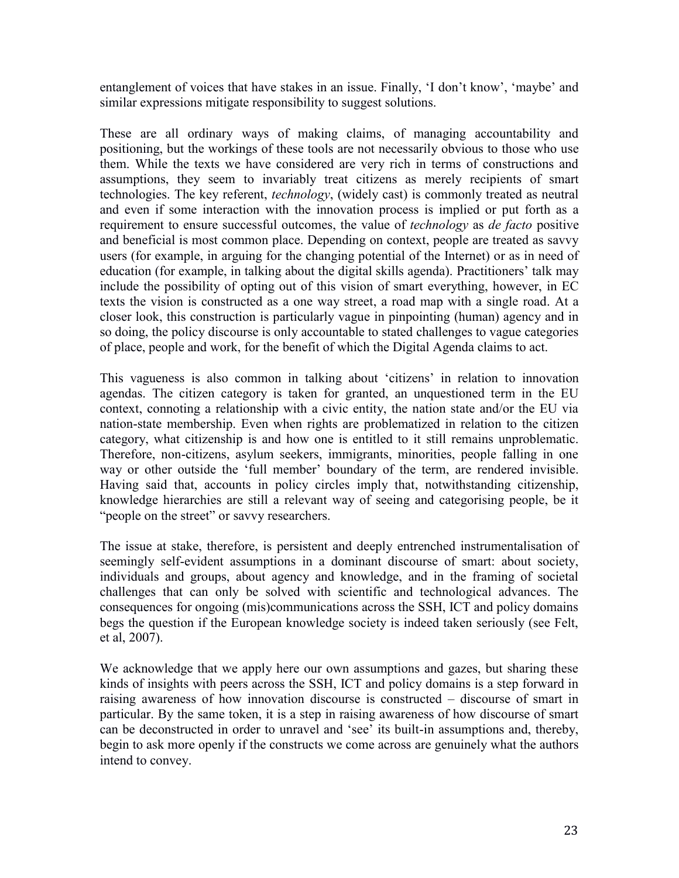entanglement of voices that have stakes in an issue. Finally, 'I don't know', 'maybe' and similar expressions mitigate responsibility to suggest solutions.

These are all ordinary ways of making claims, of managing accountability and positioning, but the workings of these tools are not necessarily obvious to those who use them. While the texts we have considered are very rich in terms of constructions and assumptions, they seem to invariably treat citizens as merely recipients of smart technologies. The key referent, *technology*, (widely cast) is commonly treated as neutral and even if some interaction with the innovation process is implied or put forth as a requirement to ensure successful outcomes, the value of *technology* as *de facto* positive and beneficial is most common place. Depending on context, people are treated as savvy users (for example, in arguing for the changing potential of the Internet) or as in need of education (for example, in talking about the digital skills agenda). Practitioners' talk may include the possibility of opting out of this vision of smart everything, however, in EC texts the vision is constructed as a one way street, a road map with a single road. At a closer look, this construction is particularly vague in pinpointing (human) agency and in so doing, the policy discourse is only accountable to stated challenges to vague categories of place, people and work, for the benefit of which the Digital Agenda claims to act.

This vagueness is also common in talking about 'citizens' in relation to innovation agendas. The citizen category is taken for granted, an unquestioned term in the EU context, connoting a relationship with a civic entity, the nation state and/or the EU via nation-state membership. Even when rights are problematized in relation to the citizen category, what citizenship is and how one is entitled to it still remains unproblematic. Therefore, non-citizens, asylum seekers, immigrants, minorities, people falling in one way or other outside the 'full member' boundary of the term, are rendered invisible. Having said that, accounts in policy circles imply that, notwithstanding citizenship, knowledge hierarchies are still a relevant way of seeing and categorising people, be it "people on the street" or savvy researchers.

The issue at stake, therefore, is persistent and deeply entrenched instrumentalisation of seemingly self-evident assumptions in a dominant discourse of smart: about society, individuals and groups, about agency and knowledge, and in the framing of societal challenges that can only be solved with scientific and technological advances. The consequences for ongoing (mis)communications across the SSH, ICT and policy domains begs the question if the European knowledge society is indeed taken seriously (see Felt, et al, 2007).

We acknowledge that we apply here our own assumptions and gazes, but sharing these kinds of insights with peers across the SSH, ICT and policy domains is a step forward in raising awareness of how innovation discourse is constructed – discourse of smart in particular. By the same token, it is a step in raising awareness of how discourse of smart can be deconstructed in order to unravel and 'see' its built-in assumptions and, thereby, begin to ask more openly if the constructs we come across are genuinely what the authors intend to convey.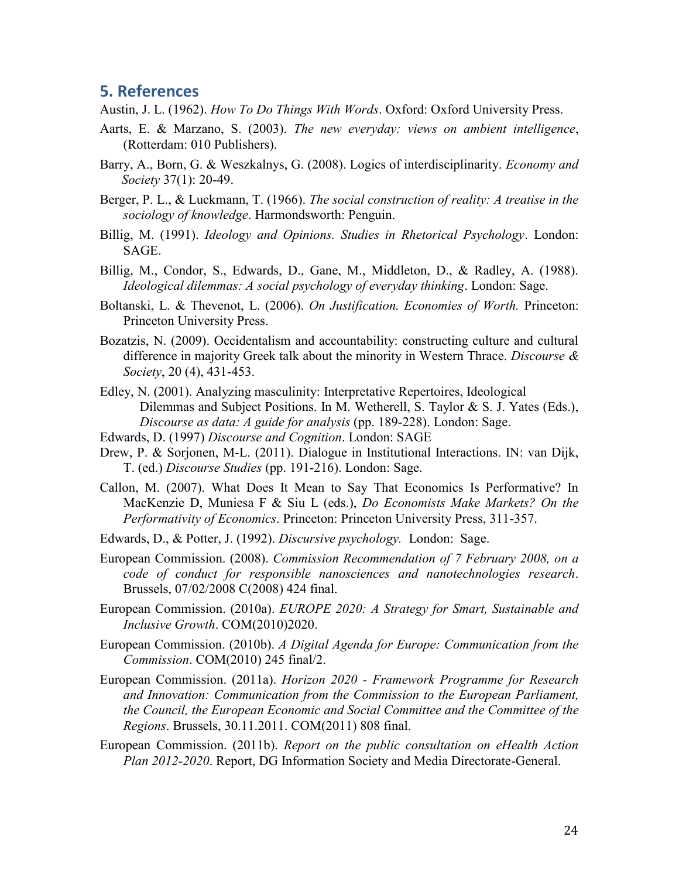## **5. References**

Austin, J. L. (1962). *How To Do Things With Words*. Oxford: Oxford University Press.

- Aarts, E. & Marzano, S. (2003). *The new everyday: views on ambient intelligence*, (Rotterdam: 010 Publishers).
- Barry, A., Born, G. & Weszkalnys, G. (2008). Logics of interdisciplinarity. *Economy and Society* 37(1): 20-49.
- Berger, P. L., & Luckmann, T. (1966). *The social construction of reality: A treatise in the sociology of knowledge*. Harmondsworth: Penguin.
- Billig, M. (1991). *Ideology and Opinions. Studies in Rhetorical Psychology*. London: SAGE.
- Billig, M., Condor, S., Edwards, D., Gane, M., Middleton, D., & Radley, A. (1988). *Ideological dilemmas: A social psychology of everyday thinking*. London: Sage.
- Boltanski, L. & Thevenot, L. (2006). *On Justification. Economies of Worth.* Princeton: Princeton University Press.
- Bozatzis, N. (2009). Occidentalism and accountability: constructing culture and cultural difference in majority Greek talk about the minority in Western Thrace. *Discourse & Society*, 20 (4), 431-453.
- Edley, N. (2001). Analyzing masculinity: Interpretative Repertoires, Ideological Dilemmas and Subject Positions. In M. Wetherell, S. Taylor & S. J. Yates (Eds.), *Discourse as data: A guide for analysis* (pp. 189-228). London: Sage.
- Edwards, D. (1997) *Discourse and Cognition*. London: SAGE
- Drew, P. & Sorjonen, M-L. (2011). Dialogue in Institutional Interactions. IN: van Dijk, T. (ed.) *Discourse Studies* (pp. 191-216). London: Sage.
- Callon, M. (2007). What Does It Mean to Say That Economics Is Performative? In MacKenzie D, Muniesa F & Siu L (eds.), *Do Economists Make Markets? On the Performativity of Economics*. Princeton: Princeton University Press, 311-357.
- Edwards, D., & Potter, J. (1992). *Discursive psychology.* London: Sage.
- European Commission. (2008). *Commission Recommendation of 7 February 2008, on a code of conduct for responsible nanosciences and nanotechnologies research*. Brussels, 07/02/2008 C(2008) 424 final.
- European Commission. (2010a). *EUROPE 2020: A Strategy for Smart, Sustainable and Inclusive Growth*. COM(2010)2020.
- European Commission. (2010b). *A Digital Agenda for Europe: Communication from the Commission*. COM(2010) 245 final/2.
- European Commission. (2011a). *Horizon 2020 - Framework Programme for Research and Innovation: Communication from the Commission to the European Parliament, the Council, the European Economic and Social Committee and the Committee of the Regions*. Brussels, 30.11.2011. COM(2011) 808 final.
- European Commission. (2011b). *Report on the public consultation on eHealth Action Plan 2012-2020*. Report, DG Information Society and Media Directorate-General.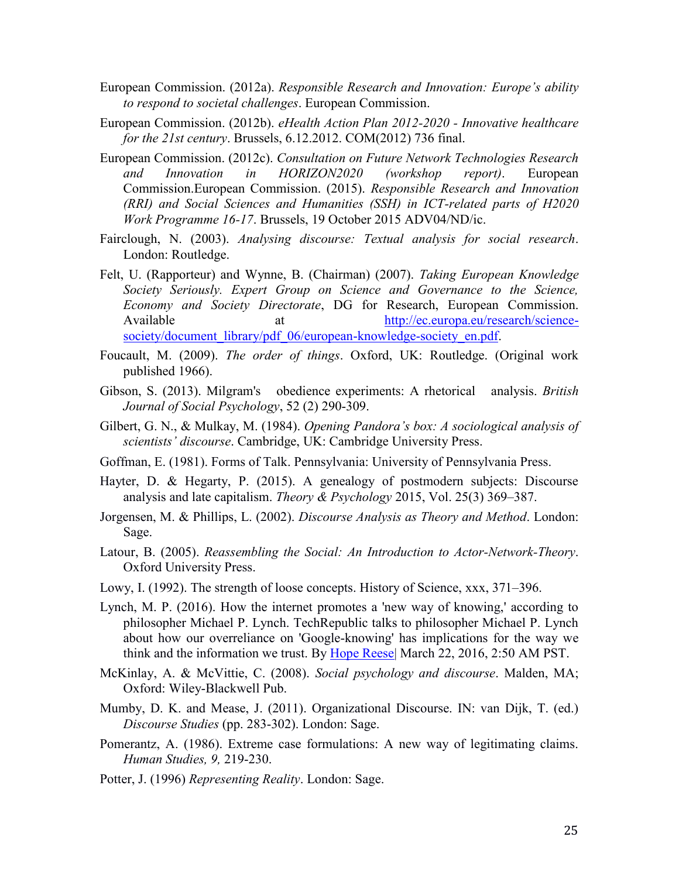- European Commission. (2012a). *Responsible Research and Innovation: Europe's ability to respond to societal challenges*. European Commission.
- European Commission. (2012b). *eHealth Action Plan 2012-2020 - Innovative healthcare for the 21st century*. Brussels, 6.12.2012. COM(2012) 736 final.
- European Commission. (2012c). *Consultation on Future Network Technologies Research and Innovation in HORIZON2020 (workshop report)*. European Commission.European Commission. (2015). *Responsible Research and Innovation (RRI) and Social Sciences and Humanities (SSH) in ICT-related parts of H2020 Work Programme 16-17*. Brussels, 19 October 2015 ADV04/ND/ic.
- Fairclough, N. (2003). *Analysing discourse: Textual analysis for social research*. London: Routledge.
- Felt, U. (Rapporteur) and Wynne, B. (Chairman) (2007). *Taking European Knowledge Society Seriously. Expert Group on Science and Governance to the Science, Economy and Society Directorate*, DG for Research, European Commission. Available at  $\frac{\text{http://ec.europa.eu/research/science-}}{\text{http://ec.europa.eu/research/science-}}$ [society/document\\_library/pdf\\_06/european-knowledge-society\\_en.pdf.](http://ec.europa.eu/research/science-society/document_library/pdf_06/european-knowledge-society_en.pdf)
- Foucault, M. (2009). *The order of things*. Oxford, UK: Routledge. (Original work published 1966).
- Gibson, S. (2013). Milgram's obedience experiments: A rhetorical analysis. *British Journal of Social Psychology*, 52 (2) 290-309.
- Gilbert, G. N., & Mulkay, M. (1984). *Opening Pandora's box: A sociological analysis of scientists' discourse*. Cambridge, UK: Cambridge University Press.
- Goffman, E. (1981). Forms of Talk. Pennsylvania: University of Pennsylvania Press.
- Hayter, D. & Hegarty, P. (2015). A genealogy of postmodern subjects: Discourse analysis and late capitalism. *Theory & Psychology* 2015, Vol. 25(3) 369–387.
- Jorgensen, M. & Phillips, L. (2002). *Discourse Analysis as Theory and Method*. London: Sage.
- Latour, B. (2005). *Reassembling the Social: An Introduction to Actor-Network-Theory*. Oxford University Press.
- Lowy, I. (1992). The strength of loose concepts. History of Science, xxx, 371–396.
- Lynch, M. P. (2016). How the internet promotes a 'new way of knowing,' according to philosopher Michael P. Lynch. TechRepublic talks to philosopher Michael P. Lynch about how our overreliance on 'Google-knowing' has implications for the way we think and the information we trust. By [Hope Reese|](http://www.techrepublic.com/meet-the-team/us/hope-reese/) March 22, 2016, 2:50 AM PST.
- McKinlay, A. & McVittie, C. (2008). *Social psychology and discourse*. Malden, MA; Oxford: Wiley-Blackwell Pub.
- Mumby, D. K. and Mease, J. (2011). Organizational Discourse. IN: van Dijk, T. (ed.) *Discourse Studies* (pp. 283-302). London: Sage.
- Pomerantz, A. (1986). Extreme case formulations: A new way of legitimating claims. *Human Studies, 9,* 219-230.
- Potter, J. (1996) *Representing Reality*. London: Sage.